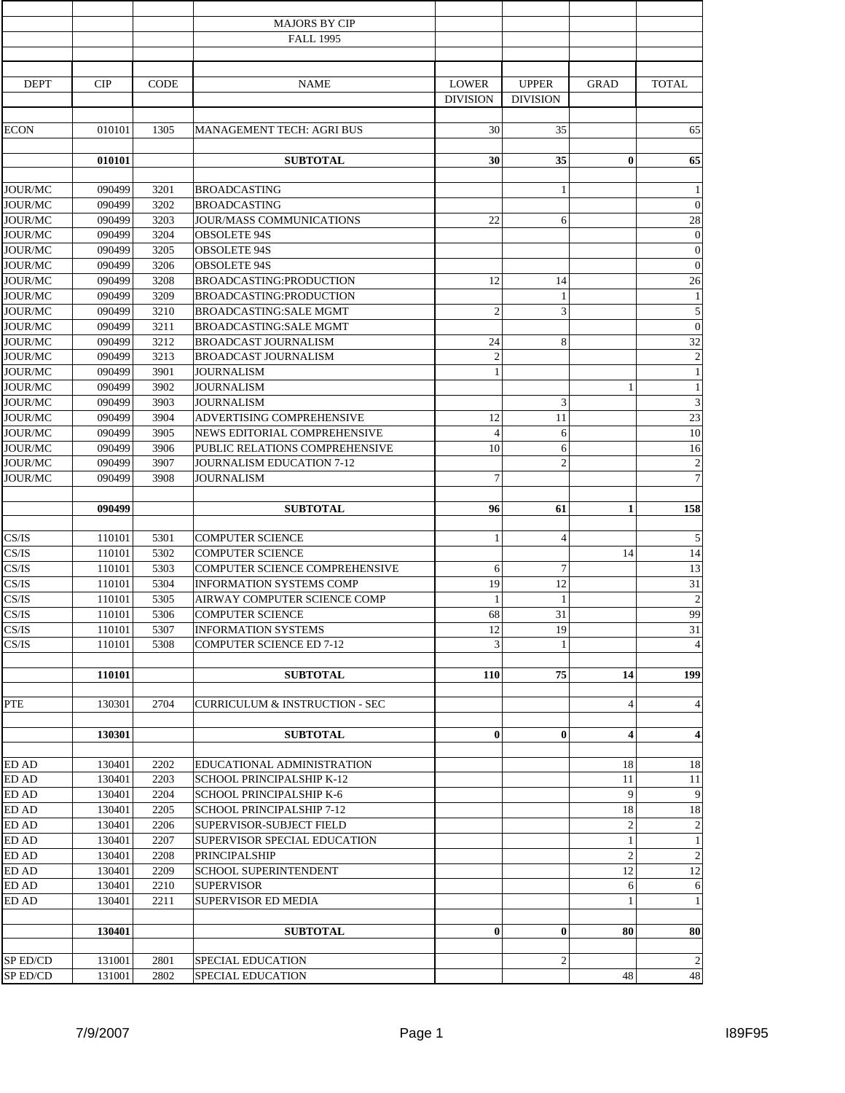|                           |                  |              | <b>MAJORS BY CIP</b>                      |                 |                 |                         |                         |
|---------------------------|------------------|--------------|-------------------------------------------|-----------------|-----------------|-------------------------|-------------------------|
|                           |                  |              | <b>FALL 1995</b>                          |                 |                 |                         |                         |
|                           |                  |              |                                           |                 |                 |                         |                         |
| <b>DEPT</b>               | CIP              | <b>CODE</b>  | <b>NAME</b>                               | <b>LOWER</b>    | <b>UPPER</b>    | <b>GRAD</b>             | <b>TOTAL</b>            |
|                           |                  |              |                                           | <b>DIVISION</b> | <b>DIVISION</b> |                         |                         |
|                           |                  |              |                                           |                 |                 |                         |                         |
| <b>ECON</b>               | 010101           | 1305         | MANAGEMENT TECH: AGRI BUS                 | 30              | 35              |                         | 65                      |
|                           |                  |              |                                           |                 |                 |                         |                         |
|                           | 010101           |              | <b>SUBTOTAL</b>                           | 30              | 35              | $\bf{0}$                | 65                      |
|                           |                  |              |                                           |                 |                 |                         |                         |
| <b>JOUR/MC</b>            | 090499           | 3201         | <b>BROADCASTING</b>                       |                 | 1               |                         | $\mathbf{1}$            |
| <b>JOUR/MC</b>            | 090499           | 3202         | <b>BROADCASTING</b>                       |                 |                 |                         | $\overline{0}$          |
| JOUR/MC                   | 090499           | 3203         | <b>JOUR/MASS COMMUNICATIONS</b>           | 22              | 6               |                         | 28                      |
| JOUR/MC                   | 090499           | 3204         | <b>OBSOLETE 94S</b>                       |                 |                 |                         | $\boldsymbol{0}$        |
| <b>JOUR/MC</b>            | 090499           | 3205         | <b>OBSOLETE 94S</b>                       |                 |                 |                         | $\boldsymbol{0}$        |
| JOUR/MC                   | 090499           | 3206         | <b>OBSOLETE 94S</b>                       |                 |                 |                         | $\overline{0}$          |
| <b>JOUR/MC</b>            | 090499           | 3208         | <b>BROADCASTING:PRODUCTION</b>            | 12              | 14              |                         | 26                      |
| <b>JOUR/MC</b>            | 090499           | 3209         | BROADCASTING:PRODUCTION                   |                 | $\mathbf{1}$    |                         | $\mathbf{1}$            |
| JOUR/MC                   | 090499           | 3210         | <b>BROADCASTING:SALE MGMT</b>             | $\mathfrak{2}$  | 3               |                         | $\overline{5}$          |
| JOUR/MC                   | 090499           | 3211         | <b>BROADCASTING:SALE MGMT</b>             |                 |                 |                         | $\boldsymbol{0}$        |
| <b>JOUR/MC</b>            | 090499           | 3212         | <b>BROADCAST JOURNALISM</b>               | 24              | 8               |                         | 32                      |
| JOUR/MC                   | 090499           | 3213         | <b>BROADCAST JOURNALISM</b>               | $\overline{2}$  |                 |                         | $\overline{2}$          |
| <b>JOUR/MC</b>            | 090499           | 3901         | JOURNALISM                                | 1               |                 |                         | $\,1\,$<br>$\mathbf{1}$ |
| <b>JOUR/MC</b><br>JOUR/MC | 090499<br>090499 | 3902<br>3903 | <b>JOURNALISM</b><br><b>JOURNALISM</b>    |                 | 3               | 1                       | $\overline{\mathbf{3}}$ |
| JOUR/MC                   | 090499           | 3904         | ADVERTISING COMPREHENSIVE                 | 12              | 11              |                         | 23                      |
| JOUR/MC                   | 090499           | 3905         | NEWS EDITORIAL COMPREHENSIVE              | $\overline{4}$  | 6               |                         | 10                      |
| JOUR/MC                   | 090499           | 3906         | PUBLIC RELATIONS COMPREHENSIVE            | 10              | 6               |                         | 16                      |
| <b>JOUR/MC</b>            | 090499           | 3907         | <b>JOURNALISM EDUCATION 7-12</b>          |                 | $\overline{c}$  |                         | $\overline{c}$          |
| <b>JOUR/MC</b>            | 090499           | 3908         | <b>JOURNALISM</b>                         | 7               |                 |                         | $\overline{7}$          |
|                           |                  |              |                                           |                 |                 |                         |                         |
|                           | 090499           |              | <b>SUBTOTAL</b>                           | 96              | 61              | $\mathbf{1}$            | 158                     |
|                           |                  |              |                                           |                 |                 |                         |                         |
| CS/IS                     | 110101           | 5301         | <b>COMPUTER SCIENCE</b>                   | 1               | $\overline{4}$  |                         | 5                       |
| CS/IS                     | 110101           | 5302         | <b>COMPUTER SCIENCE</b>                   |                 |                 | 14                      | 14                      |
| CS/IS                     | 110101           | 5303         | COMPUTER SCIENCE COMPREHENSIVE            | 6               | $\tau$          |                         | 13                      |
| CS/IS                     | 110101           | 5304         | <b>INFORMATION SYSTEMS COMP</b>           | 19              | 12              |                         | 31                      |
| CS/IS                     | 110101           | 5305         | AIRWAY COMPUTER SCIENCE COMP              | 1               | $\mathbf{1}$    |                         | $\sqrt{2}$              |
| CS/IS                     | 110101           | 5306         | <b>COMPUTER SCIENCE</b>                   | 68              | 31              |                         | 99                      |
| $\mathbf{CS}/\mathbf{IS}$ | 110101           | 5307         | <b>INFORMATION SYSTEMS</b>                | 12              | 19              |                         | 31                      |
| CS/IS                     | 110101           | 5308         | <b>COMPUTER SCIENCE ED 7-12</b>           | 3               | 1               |                         | $\overline{4}$          |
|                           | 110101           |              | <b>SUBTOTAL</b>                           | 110             | 75              | 14                      | 199                     |
|                           |                  |              |                                           |                 |                 |                         |                         |
| <b>PTE</b>                | 130301           | 2704         | <b>CURRICULUM &amp; INSTRUCTION - SEC</b> |                 |                 | 4                       | $\overline{4}$          |
|                           |                  |              |                                           |                 |                 |                         |                         |
|                           | 130301           |              | <b>SUBTOTAL</b>                           | $\bf{0}$        | $\bf{0}$        | $\overline{\mathbf{4}}$ | $\overline{\mathbf{4}}$ |
|                           |                  |              |                                           |                 |                 |                         |                         |
| ED AD                     | 130401           | 2202         | EDUCATIONAL ADMINISTRATION                |                 |                 | 18                      | 18                      |
| ED AD                     | 130401           | 2203         | SCHOOL PRINCIPALSHIP K-12                 |                 |                 | 11                      | 11                      |
| ED AD                     | 130401           | 2204         | SCHOOL PRINCIPALSHIP K-6                  |                 |                 | 9                       | 9                       |
| ED AD                     | 130401           | 2205         | <b>SCHOOL PRINCIPALSHIP 7-12</b>          |                 |                 | 18                      | 18                      |
| ED AD                     | 130401           | 2206         | SUPERVISOR-SUBJECT FIELD                  |                 |                 | $\overline{c}$          | $\overline{c}$          |
| $ED$ AD                   | 130401           | 2207         | SUPERVISOR SPECIAL EDUCATION              |                 |                 | $\mathbf{1}$            | $\mathbf{1}$            |
| ED AD                     | 130401           | 2208         | PRINCIPALSHIP                             |                 |                 | $\overline{c}$          | $\sqrt{2}$              |
| ED AD                     | 130401           | 2209         | <b>SCHOOL SUPERINTENDENT</b>              |                 |                 | 12                      | 12                      |
| $\operatorname{ED}$ AD    | 130401           | 2210         | <b>SUPERVISOR</b>                         |                 |                 | 6                       | 6                       |
| <b>ED AD</b>              | 130401           | 2211         | SUPERVISOR ED MEDIA                       |                 |                 | 1                       | $\mathbf{1}$            |
|                           |                  |              |                                           |                 |                 |                         |                         |
|                           | 130401           |              | <b>SUBTOTAL</b>                           | $\bf{0}$        | $\bf{0}$        | 80                      | 80                      |
| SP ED/CD                  | 131001           | 2801         | <b>SPECIAL EDUCATION</b>                  |                 | $\overline{c}$  |                         | $\overline{2}$          |
| SP ED/CD                  | 131001           | 2802         | SPECIAL EDUCATION                         |                 |                 | 48                      | 48                      |
|                           |                  |              |                                           |                 |                 |                         |                         |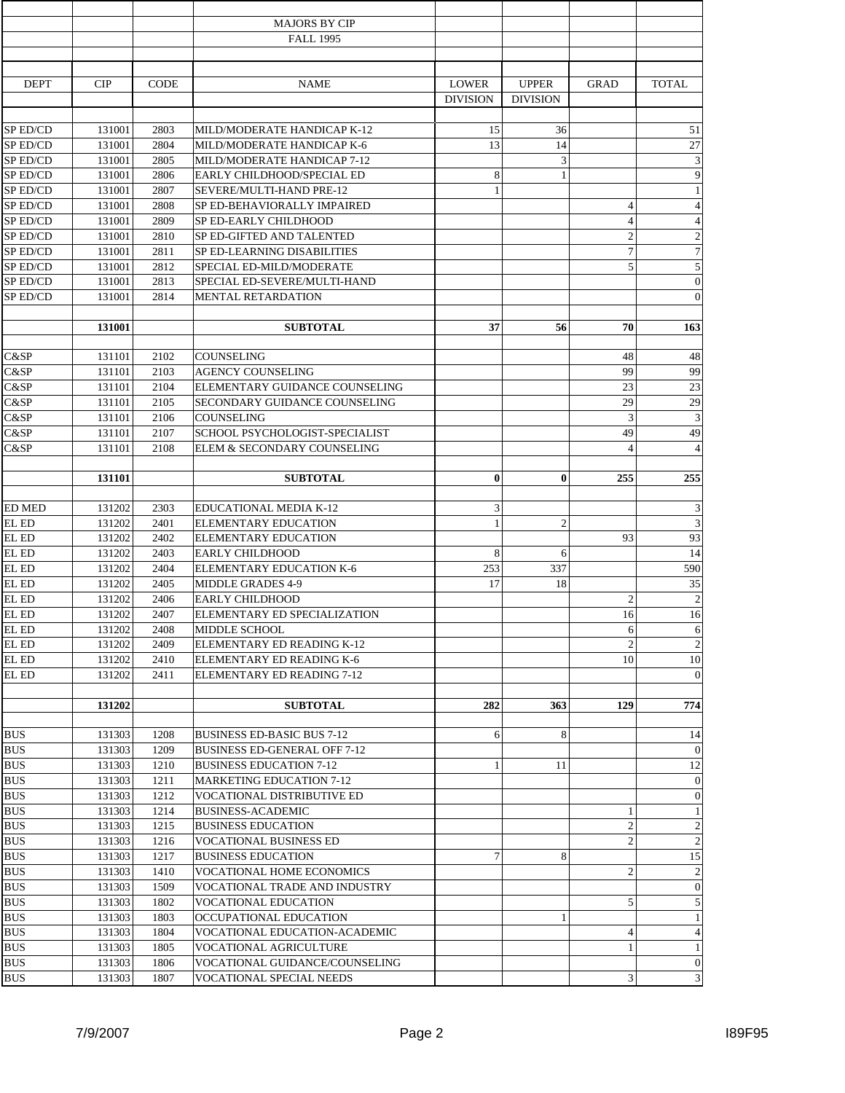|                 |        |             | <b>MAJORS BY CIP</b>                |                 |                 |                         |                         |
|-----------------|--------|-------------|-------------------------------------|-----------------|-----------------|-------------------------|-------------------------|
|                 |        |             | <b>FALL 1995</b>                    |                 |                 |                         |                         |
|                 |        |             |                                     |                 |                 |                         |                         |
| <b>DEPT</b>     |        |             |                                     | <b>LOWER</b>    | <b>UPPER</b>    |                         | <b>TOTAL</b>            |
|                 | CIP    | <b>CODE</b> | <b>NAME</b>                         | <b>DIVISION</b> | <b>DIVISION</b> | <b>GRAD</b>             |                         |
|                 |        |             |                                     |                 |                 |                         |                         |
| SP ED/CD        | 131001 | 2803        | MILD/MODERATE HANDICAP K-12         | 15              | 36              |                         | 51                      |
| SP ED/CD        | 131001 | 2804        | MILD/MODERATE HANDICAP K-6          | 13              | 14              |                         | 27                      |
| SP ED/CD        | 131001 | 2805        | MILD/MODERATE HANDICAP 7-12         |                 | 3               |                         | $\overline{\mathbf{3}}$ |
| SP ED/CD        | 131001 | 2806        | EARLY CHILDHOOD/SPECIAL ED          | 8               | $\mathbf{1}$    |                         | 9                       |
| SP ED/CD        | 131001 | 2807        | SEVERE/MULTI-HAND PRE-12            | 1               |                 |                         | $\mathbf{1}$            |
| SP ED/CD        | 131001 | 2808        | SP ED-BEHAVIORALLY IMPAIRED         |                 |                 | $\overline{4}$          | $\overline{4}$          |
| SP ED/CD        | 131001 | 2809        | SP ED-EARLY CHILDHOOD               |                 |                 | $\overline{4}$          | $\overline{4}$          |
| SP ED/CD        | 131001 | 2810        | SP ED-GIFTED AND TALENTED           |                 |                 | $\overline{2}$          | $\overline{c}$          |
| SP ED/CD        | 131001 | 2811        | SP ED-LEARNING DISABILITIES         |                 |                 | $\overline{7}$          | $\overline{7}$          |
| SP ED/CD        | 131001 | 2812        | SPECIAL ED-MILD/MODERATE            |                 |                 | 5                       | 5                       |
| SP ED/CD        | 131001 | 2813        | SPECIAL ED-SEVERE/MULTI-HAND        |                 |                 |                         | $\overline{0}$          |
| <b>SP ED/CD</b> | 131001 | 2814        | MENTAL RETARDATION                  |                 |                 |                         | $\overline{0}$          |
|                 |        |             |                                     |                 |                 |                         |                         |
|                 | 131001 |             | <b>SUBTOTAL</b>                     | 37              | 56              | 70                      | 163                     |
|                 |        |             |                                     |                 |                 |                         |                         |
| C&SP            | 131101 | 2102        | COUNSELING                          |                 |                 | 48                      | 48                      |
| C&SP            | 131101 | 2103        | <b>AGENCY COUNSELING</b>            |                 |                 | 99                      | 99                      |
| C&SP            | 131101 | 2104        | ELEMENTARY GUIDANCE COUNSELING      |                 |                 | 23                      | 23                      |
| C&SP            | 131101 | 2105        | SECONDARY GUIDANCE COUNSELING       |                 |                 | 29                      | 29                      |
| C&SP            | 131101 | 2106        | <b>COUNSELING</b>                   |                 |                 | 3                       | $\overline{3}$          |
| C&SP            | 131101 | 2107        | SCHOOL PSYCHOLOGIST-SPECIALIST      |                 |                 | 49                      | 49                      |
| C&SP            | 131101 | 2108        | ELEM & SECONDARY COUNSELING         |                 |                 | $\overline{4}$          | $\overline{4}$          |
|                 |        |             |                                     |                 |                 |                         |                         |
|                 | 131101 |             | <b>SUBTOTAL</b>                     | $\bf{0}$        | $\bf{0}$        | 255                     | 255                     |
| <b>ED MED</b>   | 131202 | 2303        | EDUCATIONAL MEDIA K-12              | 3               |                 |                         | 3                       |
| EL ED           | 131202 | 2401        | <b>ELEMENTARY EDUCATION</b>         | $\mathbf{1}$    | $\overline{2}$  |                         | $\overline{3}$          |
| EL ED           | 131202 | 2402        | ELEMENTARY EDUCATION                |                 |                 | 93                      | 93                      |
| EL ED           | 131202 | 2403        | <b>EARLY CHILDHOOD</b>              | 8               | 6               |                         | 14                      |
| EL ED           | 131202 | 2404        | <b>ELEMENTARY EDUCATION K-6</b>     | 253             | 337             |                         | 590                     |
| EL ED           | 131202 | 2405        | <b>MIDDLE GRADES 4-9</b>            | 17              | 18              |                         | 35                      |
| EL ED           | 131202 | 2406        | <b>EARLY CHILDHOOD</b>              |                 |                 | $\overline{2}$          | $\overline{2}$          |
| EL ED           | 131202 | 2407        | ELEMENTARY ED SPECIALIZATION        |                 |                 | 16                      | 16                      |
| EL ED           | 131202 | 2408        | MIDDLE SCHOOL                       |                 |                 | 6                       | 6                       |
| EL ED           | 131202 | 2409        | ELEMENTARY ED READING K-12          |                 |                 | $\overline{2}$          | $\overline{2}$          |
| EL ED           | 131202 | 2410        | ELEMENTARY ED READING K-6           |                 |                 | 10                      | 10                      |
| EL ED           | 131202 | 2411        | ELEMENTARY ED READING 7-12          |                 |                 |                         | $\mathbf{0}$            |
|                 |        |             |                                     |                 |                 |                         |                         |
|                 | 131202 |             | <b>SUBTOTAL</b>                     | 282             | 363             | 129                     | 774                     |
|                 |        |             |                                     |                 |                 |                         |                         |
| <b>BUS</b>      | 131303 | 1208        | <b>BUSINESS ED-BASIC BUS 7-12</b>   | 6               | 8               |                         | 14                      |
| <b>BUS</b>      | 131303 | 1209        | <b>BUSINESS ED-GENERAL OFF 7-12</b> |                 |                 |                         | $\mathbf{0}$            |
| <b>BUS</b>      | 131303 | 1210        | <b>BUSINESS EDUCATION 7-12</b>      |                 | 11              |                         | 12                      |
| <b>BUS</b>      | 131303 | 1211        | <b>MARKETING EDUCATION 7-12</b>     |                 |                 |                         | $\mathbf{0}$            |
| <b>BUS</b>      | 131303 | 1212        | VOCATIONAL DISTRIBUTIVE ED          |                 |                 |                         | $\mathbf{0}$            |
| BUS             | 131303 | 1214        | <b>BUSINESS-ACADEMIC</b>            |                 |                 | 1                       | 1                       |
| <b>BUS</b>      | 131303 | 1215        | <b>BUSINESS EDUCATION</b>           |                 |                 | $\overline{2}$          | $\overline{2}$          |
| <b>BUS</b>      | 131303 | 1216        | <b>VOCATIONAL BUSINESS ED</b>       |                 |                 | $\overline{c}$          | $\overline{2}$          |
| <b>BUS</b>      | 131303 | 1217        | <b>BUSINESS EDUCATION</b>           | 7               | 8               |                         | 15                      |
| <b>BUS</b>      | 131303 | 1410        | VOCATIONAL HOME ECONOMICS           |                 |                 | $\overline{c}$          | $\mathbf{2}$            |
| <b>BUS</b>      | 131303 | 1509        | VOCATIONAL TRADE AND INDUSTRY       |                 |                 |                         | $\boldsymbol{0}$        |
| BUS             | 131303 | 1802        | VOCATIONAL EDUCATION                |                 |                 | 5                       | 5                       |
| <b>BUS</b>      | 131303 | 1803        | OCCUPATIONAL EDUCATION              |                 | 1               |                         | $\mathbf{1}$            |
| <b>BUS</b>      | 131303 | 1804        | VOCATIONAL EDUCATION-ACADEMIC       |                 |                 | 4                       | $\overline{4}$          |
| <b>BUS</b>      | 131303 | 1805        | VOCATIONAL AGRICULTURE              |                 |                 | $\mathbf{1}$            | $\mathbf{1}$            |
| <b>BUS</b>      | 131303 | 1806        | VOCATIONAL GUIDANCE/COUNSELING      |                 |                 |                         | $\mathbf 0$             |
| <b>BUS</b>      | 131303 | 1807        | VOCATIONAL SPECIAL NEEDS            |                 |                 | $\overline{\mathbf{3}}$ | 3                       |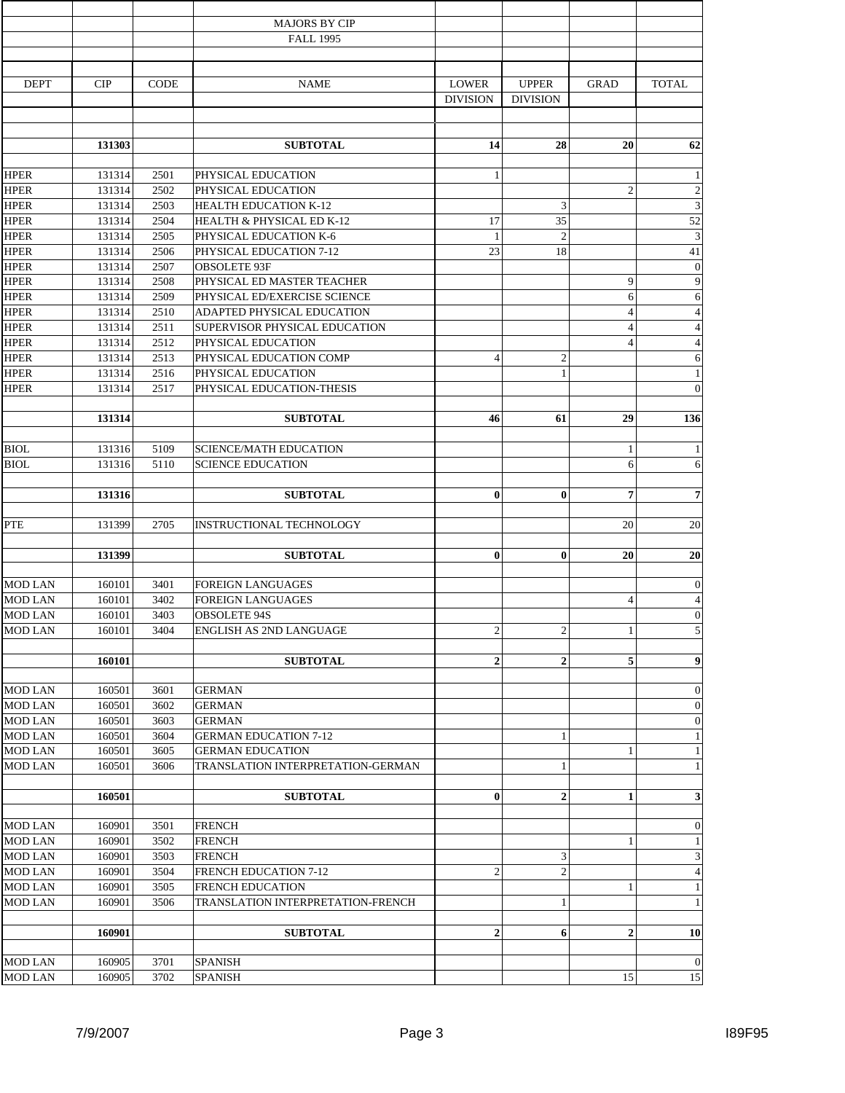|                      |        |             | <b>MAJORS BY CIP</b>              |                 |                  |                |                              |
|----------------------|--------|-------------|-----------------------------------|-----------------|------------------|----------------|------------------------------|
|                      |        |             | <b>FALL 1995</b>                  |                 |                  |                |                              |
|                      |        |             |                                   |                 |                  |                |                              |
| <b>DEPT</b>          | CIP    | <b>CODE</b> | <b>NAME</b>                       | <b>LOWER</b>    | <b>UPPER</b>     | <b>GRAD</b>    | <b>TOTAL</b>                 |
|                      |        |             |                                   | <b>DIVISION</b> | <b>DIVISION</b>  |                |                              |
|                      |        |             |                                   |                 |                  |                |                              |
|                      | 131303 |             | <b>SUBTOTAL</b>                   | 14              | 28               | 20             | 62                           |
| <b>HPER</b>          | 131314 | 2501        | PHYSICAL EDUCATION                | 1               |                  |                | $\mathbf{1}$                 |
| <b>HPER</b>          | 131314 | 2502        | PHYSICAL EDUCATION                |                 |                  | $\overline{2}$ | $\sqrt{2}$                   |
| <b>HPER</b>          | 131314 | 2503        | HEALTH EDUCATION K-12             |                 | 3                |                |                              |
| <b>HPER</b>          | 131314 | 2504        | HEALTH & PHYSICAL ED K-12         | 17              | 35               |                | 52                           |
| <b>HPER</b>          | 131314 | 2505        | PHYSICAL EDUCATION K-6            | 1               | $\overline{c}$   |                | $\overline{3}$               |
| <b>HPER</b>          | 131314 | 2506        | PHYSICAL EDUCATION 7-12           | 23              | 18               |                | 41                           |
| <b>HPER</b>          | 131314 | 2507        | <b>OBSOLETE 93F</b>               |                 |                  |                | $\boldsymbol{0}$             |
| <b>HPER</b>          | 131314 | 2508        | PHYSICAL ED MASTER TEACHER        |                 |                  | 9              | 9                            |
| <b>HPER</b>          | 131314 | 2509        | PHYSICAL ED/EXERCISE SCIENCE      |                 |                  | 6              | 6                            |
| <b>HPER</b>          | 131314 | 2510        | ADAPTED PHYSICAL EDUCATION        |                 |                  | $\overline{4}$ | $\overline{4}$               |
| <b>HPER</b>          | 131314 | 2511        | SUPERVISOR PHYSICAL EDUCATION     |                 |                  | $\overline{4}$ | $\overline{4}$               |
| <b>HPER</b>          | 131314 | 2512        | PHYSICAL EDUCATION                |                 |                  | $\overline{4}$ | $\overline{4}$               |
| <b>HPER</b>          | 131314 | 2513        | PHYSICAL EDUCATION COMP           | $\overline{4}$  | $\overline{c}$   |                | 6                            |
| <b>HPER</b>          | 131314 | 2516        | PHYSICAL EDUCATION                |                 | $\mathbf{1}$     |                | $\mathbf{1}$                 |
| <b>HPER</b>          | 131314 | 2517        | PHYSICAL EDUCATION-THESIS         |                 |                  |                | $\overline{0}$               |
|                      |        |             |                                   |                 |                  |                |                              |
|                      | 131314 |             | <b>SUBTOTAL</b>                   | 46              | 61               | 29             | 136                          |
| <b>BIOL</b>          | 131316 | 5109        | <b>SCIENCE/MATH EDUCATION</b>     |                 |                  | 1              | $\mathbf{1}$                 |
| <b>BIOL</b>          | 131316 | 5110        | <b>SCIENCE EDUCATION</b>          |                 |                  | 6              | 6                            |
|                      |        |             |                                   |                 |                  |                |                              |
|                      | 131316 |             | <b>SUBTOTAL</b>                   | $\bf{0}$        | $\bf{0}$         | 7              | $\overline{7}$               |
|                      |        |             |                                   |                 |                  |                |                              |
| PTE                  | 131399 | 2705        | INSTRUCTIONAL TECHNOLOGY          |                 |                  | 20             | 20                           |
|                      | 131399 |             | <b>SUBTOTAL</b>                   | $\bf{0}$        | $\bf{0}$         | 20             | 20                           |
|                      |        |             |                                   |                 |                  |                |                              |
| <b>MOD LAN</b>       | 160101 | 3401        | <b>FOREIGN LANGUAGES</b>          |                 |                  |                | $\overline{0}$               |
| <b>MOD LAN</b>       | 160101 | 3402        | <b>FOREIGN LANGUAGES</b>          |                 |                  | $\overline{4}$ | $\overline{4}$               |
| $\overline{MOD}$ LAN | 160101 | 3403        | <b>OBSOLETE 94S</b>               |                 |                  |                | $\boldsymbol{0}$             |
| MOD LAN              | 160101 | 3404        | ENGLISH AS 2ND LANGUAGE           | $\mathbf{2}$    | $\overline{c}$   | 1              | 5                            |
|                      |        |             |                                   |                 |                  |                |                              |
|                      | 160101 |             | <b>SUBTOTAL</b>                   | $\overline{2}$  | $\boldsymbol{2}$ | 5              | $\boldsymbol{9}$             |
| <b>MOD LAN</b>       | 160501 | 3601        | <b>GERMAN</b>                     |                 |                  |                | $\mathbf{0}$                 |
| <b>MOD LAN</b>       | 160501 | 3602        | <b>GERMAN</b>                     |                 |                  |                | $\mathbf{0}$                 |
| <b>MOD LAN</b>       | 160501 | 3603        | <b>GERMAN</b>                     |                 |                  |                | $\mathbf{0}$                 |
| <b>MOD LAN</b>       | 160501 | 3604        | <b>GERMAN EDUCATION 7-12</b>      |                 | 1                |                | $\mathbf{1}$                 |
| <b>MOD LAN</b>       | 160501 | 3605        | <b>GERMAN EDUCATION</b>           |                 |                  | 1              | $\mathbf{1}$                 |
| <b>MOD LAN</b>       | 160501 | 3606        | TRANSLATION INTERPRETATION-GERMAN |                 | 1                |                | $\mathbf{1}$                 |
|                      |        |             |                                   |                 |                  |                |                              |
|                      | 160501 |             | <b>SUBTOTAL</b>                   | $\bf{0}$        | $\overline{2}$   | 1              | $\mathbf{3}$                 |
|                      |        |             |                                   |                 |                  |                |                              |
| <b>MOD LAN</b>       | 160901 | 3501        | <b>FRENCH</b>                     |                 |                  |                | $\mathbf{0}$                 |
| <b>MOD LAN</b>       | 160901 | 3502        | <b>FRENCH</b>                     |                 |                  | $\mathbf{1}$   | $\mathbf{1}$                 |
| <b>MOD LAN</b>       | 160901 | 3503        | <b>FRENCH</b>                     |                 | 3                |                | $\mathbf{3}$                 |
| <b>MOD LAN</b>       | 160901 | 3504        | FRENCH EDUCATION 7-12             | $\mathfrak{2}$  | $\overline{c}$   |                | $\overline{4}$               |
| <b>MOD LAN</b>       | 160901 | 3505        | <b>FRENCH EDUCATION</b>           |                 |                  | 1              | $\mathbf{1}$<br>$\mathbf{1}$ |
| <b>MOD LAN</b>       | 160901 | 3506        | TRANSLATION INTERPRETATION-FRENCH |                 | $\mathbf{1}$     |                |                              |
|                      | 160901 |             | <b>SUBTOTAL</b>                   | $\mathbf{2}$    | 6                | 2              | 10                           |
|                      |        |             |                                   |                 |                  |                |                              |
| MOD LAN              | 160905 | 3701        | <b>SPANISH</b>                    |                 |                  |                | $\overline{0}$               |
| <b>MOD LAN</b>       | 160905 | 3702        | <b>SPANISH</b>                    |                 |                  | 15             | 15                           |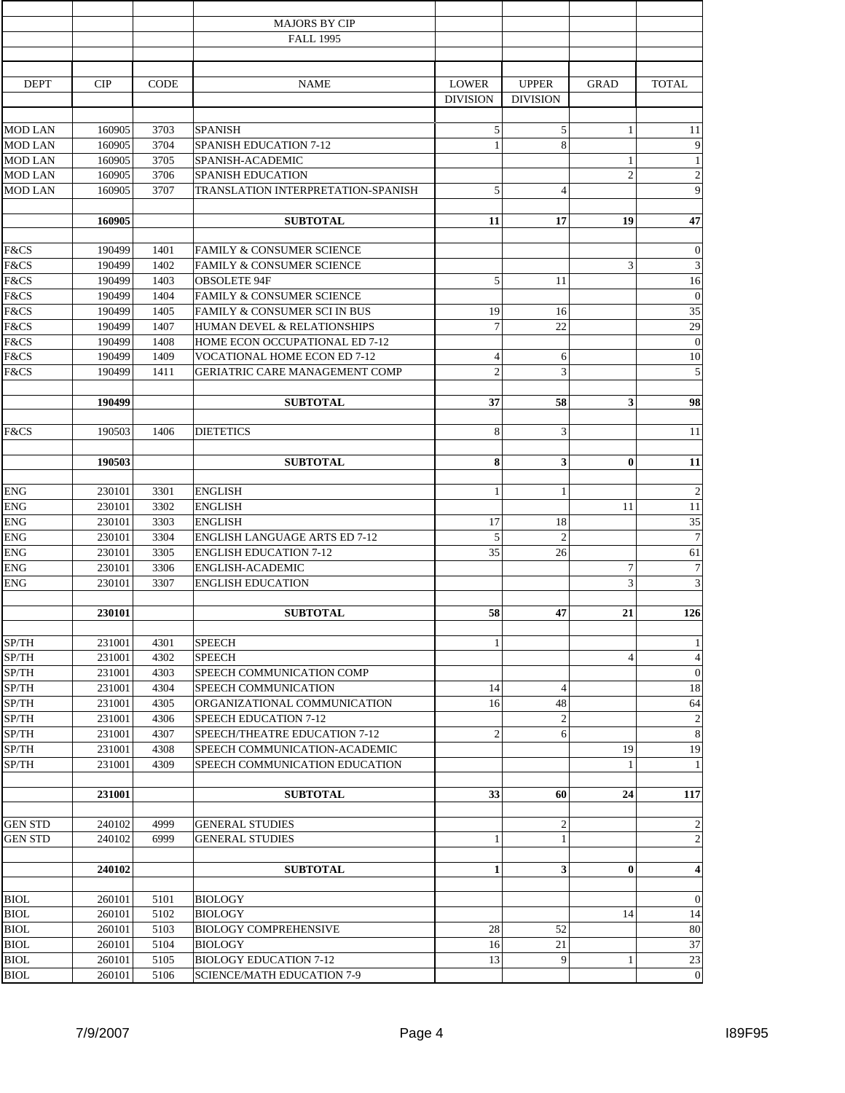|                |        |             | <b>MAJORS BY CIP</b>                  |                 |                 |                |                         |
|----------------|--------|-------------|---------------------------------------|-----------------|-----------------|----------------|-------------------------|
|                |        |             | <b>FALL 1995</b>                      |                 |                 |                |                         |
|                |        |             |                                       |                 |                 |                |                         |
| <b>DEPT</b>    | CIP    | <b>CODE</b> | <b>NAME</b>                           | <b>LOWER</b>    | <b>UPPER</b>    | <b>GRAD</b>    | <b>TOTAL</b>            |
|                |        |             |                                       | <b>DIVISION</b> | <b>DIVISION</b> |                |                         |
|                |        |             |                                       |                 |                 |                |                         |
| <b>MOD LAN</b> | 160905 | 3703        | <b>SPANISH</b>                        | 5               | 5               | 1              | 11                      |
| <b>MOD LAN</b> | 160905 | 3704        | <b>SPANISH EDUCATION 7-12</b>         | $\mathbf{1}$    | $\,8\,$         |                | 9                       |
| <b>MOD LAN</b> | 160905 | 3705        | SPANISH-ACADEMIC                      |                 |                 | 1              | -1                      |
| <b>MOD LAN</b> | 160905 | 3706        | <b>SPANISH EDUCATION</b>              |                 |                 | $\overline{2}$ | $\overline{2}$          |
| <b>MOD LAN</b> | 160905 | 3707        | TRANSLATION INTERPRETATION-SPANISH    | 5               | $\overline{4}$  |                | 9                       |
|                |        |             |                                       |                 |                 |                |                         |
|                | 160905 |             | <b>SUBTOTAL</b>                       | 11              | 17              | 19             | 47                      |
|                |        |             |                                       |                 |                 |                |                         |
| F&CS           | 190499 | 1401        | <b>FAMILY &amp; CONSUMER SCIENCE</b>  |                 |                 |                | $\mathbf{0}$            |
| F&CS           | 190499 | 1402        | <b>FAMILY &amp; CONSUMER SCIENCE</b>  |                 |                 | 3              | 3                       |
| F&CS           | 190499 | 1403        | <b>OBSOLETE 94F</b>                   | 5               | 11              |                | 16                      |
| F&CS           | 190499 | 1404        | <b>FAMILY &amp; CONSUMER SCIENCE</b>  |                 |                 |                | $\boldsymbol{0}$        |
| F&CS           | 190499 | 1405        | FAMILY & CONSUMER SCI IN BUS          | 19              | 16              |                | 35                      |
| F&CS           | 190499 | 1407        | HUMAN DEVEL & RELATIONSHIPS           | $\overline{7}$  | 22              |                | 29                      |
| F&CS           | 190499 | 1408        | HOME ECON OCCUPATIONAL ED 7-12        |                 |                 |                | $\overline{0}$          |
| F&CS           | 190499 | 1409        | VOCATIONAL HOME ECON ED 7-12          | 4               | 6               |                | 10                      |
| F&CS           | 190499 | 1411        | <b>GERIATRIC CARE MANAGEMENT COMP</b> | $\overline{2}$  | 3               |                | 5                       |
|                |        |             |                                       |                 |                 |                |                         |
|                | 190499 |             | <b>SUBTOTAL</b>                       | 37              | 58              | 3              | 98                      |
|                |        |             |                                       |                 |                 |                |                         |
| F&CS           | 190503 | 1406        | <b>DIETETICS</b>                      | 8               | 3               |                | 11                      |
|                |        |             |                                       |                 |                 |                |                         |
|                | 190503 |             | <b>SUBTOTAL</b>                       | 8               | 3               | $\bf{0}$       | 11                      |
|                |        |             |                                       |                 |                 |                |                         |
| <b>ENG</b>     | 230101 | 3301        | <b>ENGLISH</b>                        | 1               | $\mathbf{1}$    |                | $\overline{c}$          |
| ${\rm ENG}$    | 230101 | 3302        | <b>ENGLISH</b>                        |                 |                 | 11             | 11                      |
| <b>ENG</b>     | 230101 | 3303        | <b>ENGLISH</b>                        | 17              | 18              |                | 35                      |
| <b>ENG</b>     | 230101 | 3304        | <b>ENGLISH LANGUAGE ARTS ED 7-12</b>  | 5               | $\overline{2}$  |                | $\overline{7}$          |
| <b>ENG</b>     | 230101 | 3305        | <b>ENGLISH EDUCATION 7-12</b>         | 35              | 26              |                | 61                      |
| ${\rm ENG}$    | 230101 | 3306        | ENGLISH-ACADEMIC                      |                 |                 | $\overline{7}$ | $\overline{7}$          |
| <b>ENG</b>     | 230101 | 3307        | <b>ENGLISH EDUCATION</b>              |                 |                 | 3              | 3                       |
|                |        |             |                                       |                 |                 |                |                         |
|                | 230101 |             | <b>SUBTOTAL</b>                       | 58              | 47              | 21             | 126                     |
| SP/TH          | 231001 | 4301        | <b>SPEECH</b>                         | 1               |                 |                | $\mathbf{1}$            |
| SP/TH          | 231001 | 4302        | <b>SPEECH</b>                         |                 |                 | $\overline{4}$ | $\overline{4}$          |
| SP/TH          | 231001 | 4303        | SPEECH COMMUNICATION COMP             |                 |                 |                | $\overline{0}$          |
| SP/TH          | 231001 | 4304        | SPEECH COMMUNICATION                  | 14              | $\overline{4}$  |                | 18                      |
| SP/TH          | 231001 | 4305        | ORGANIZATIONAL COMMUNICATION          | 16              | 48              |                | 64                      |
| SP/TH          | 231001 | 4306        | SPEECH EDUCATION 7-12                 |                 | $\overline{c}$  |                | $\mathbf{2}$            |
| SP/TH          | 231001 | 4307        | SPEECH/THEATRE EDUCATION 7-12         | 2               | 6               |                | 8                       |
| ${\rm SP/TH}$  | 231001 | 4308        | SPEECH COMMUNICATION-ACADEMIC         |                 |                 | 19             | 19                      |
| SP/TH          | 231001 | 4309        | SPEECH COMMUNICATION EDUCATION        |                 |                 | $\mathbf{1}$   | 1                       |
|                |        |             |                                       |                 |                 |                |                         |
|                | 231001 |             | <b>SUBTOTAL</b>                       | 33              | 60              | 24             | 117                     |
|                |        |             |                                       |                 |                 |                |                         |
| <b>GEN STD</b> | 240102 | 4999        | <b>GENERAL STUDIES</b>                |                 | $\overline{c}$  |                | $\overline{2}$          |
| <b>GEN STD</b> | 240102 | 6999        | <b>GENERAL STUDIES</b>                | 1               | $\mathbf{1}$    |                | $\overline{2}$          |
|                |        |             |                                       |                 |                 |                |                         |
|                | 240102 |             | <b>SUBTOTAL</b>                       | 1               | 3               | $\bf{0}$       | $\overline{\mathbf{4}}$ |
|                |        |             |                                       |                 |                 |                |                         |
| <b>BIOL</b>    | 260101 | 5101        | <b>BIOLOGY</b>                        |                 |                 |                | $\overline{0}$          |
| <b>BIOL</b>    | 260101 | 5102        | <b>BIOLOGY</b>                        |                 |                 | 14             | 14                      |
| <b>BIOL</b>    | 260101 | 5103        | <b>BIOLOGY COMPREHENSIVE</b>          | 28              | 52              |                | 80                      |
| <b>BIOL</b>    | 260101 | 5104        | <b>BIOLOGY</b>                        | 16              | 21              |                | 37                      |
| <b>BIOL</b>    | 260101 | 5105        | <b>BIOLOGY EDUCATION 7-12</b>         | 13              | 9               | 1              | 23                      |
| <b>BIOL</b>    | 260101 | 5106        | <b>SCIENCE/MATH EDUCATION 7-9</b>     |                 |                 |                | $\overline{0}$          |
|                |        |             |                                       |                 |                 |                |                         |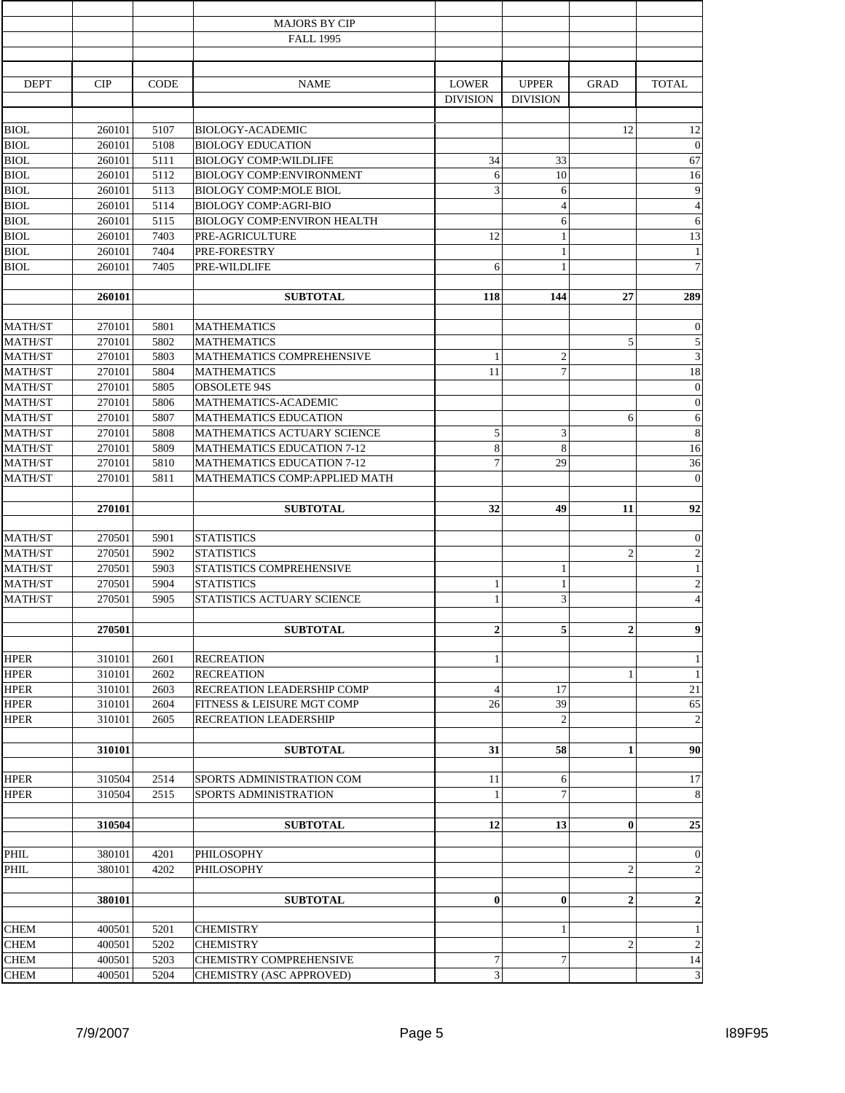|                                  |                  |              | <b>MAJORS BY CIP</b>                                             |                  |                 |                |                                    |
|----------------------------------|------------------|--------------|------------------------------------------------------------------|------------------|-----------------|----------------|------------------------------------|
|                                  |                  |              | <b>FALL 1995</b>                                                 |                  |                 |                |                                    |
|                                  |                  |              |                                                                  |                  |                 |                |                                    |
| <b>DEPT</b>                      | CIP              | <b>CODE</b>  | <b>NAME</b>                                                      | <b>LOWER</b>     | <b>UPPER</b>    | <b>GRAD</b>    | <b>TOTAL</b>                       |
|                                  |                  |              |                                                                  | <b>DIVISION</b>  | <b>DIVISION</b> |                |                                    |
|                                  |                  |              |                                                                  |                  |                 |                |                                    |
| <b>BIOL</b>                      | 260101           | 5107         | BIOLOGY-ACADEMIC                                                 |                  |                 | 12             | 12                                 |
| <b>BIOL</b>                      | 260101           | 5108         | <b>BIOLOGY EDUCATION</b>                                         |                  |                 |                | $\theta$                           |
| <b>BIOL</b><br><b>BIOL</b>       | 260101<br>260101 | 5111<br>5112 | <b>BIOLOGY COMP: WILDLIFE</b><br><b>BIOLOGY COMP:ENVIRONMENT</b> | 34<br>6          | 33<br>10        |                | 67                                 |
| <b>BIOL</b>                      | 260101           | 5113         | <b>BIOLOGY COMP:MOLE BIOL</b>                                    | 3                | 6               |                | 16<br>9                            |
| <b>BIOL</b>                      | 260101           | 5114         | <b>BIOLOGY COMP:AGRI-BIO</b>                                     |                  | $\overline{4}$  |                | $\overline{4}$                     |
| <b>BIOL</b>                      | 260101           | 5115         | <b>BIOLOGY COMP:ENVIRON HEALTH</b>                               |                  | 6               |                | 6                                  |
| <b>BIOL</b>                      | 260101           | 7403         | PRE-AGRICULTURE                                                  | 12               | $\mathbf{1}$    |                | 13                                 |
| <b>BIOL</b>                      | 260101           | 7404         | PRE-FORESTRY                                                     |                  | $\mathbf{1}$    |                | $\mathbf{1}$                       |
| <b>BIOL</b>                      | 260101           | 7405         | PRE-WILDLIFE                                                     | 6                | 1               |                | $\overline{7}$                     |
|                                  |                  |              |                                                                  |                  |                 |                |                                    |
|                                  | 260101           |              | <b>SUBTOTAL</b>                                                  | 118              | 144             | 27             | 289                                |
| MATH/ST                          | 270101           | 5801         | <b>MATHEMATICS</b>                                               |                  |                 |                | $\boldsymbol{0}$                   |
| MATH/ST                          | 270101           | 5802         | <b>MATHEMATICS</b>                                               |                  |                 | 5              | 5                                  |
| <b>MATH/ST</b>                   | 270101           | 5803         | MATHEMATICS COMPREHENSIVE                                        | 1                | $\overline{c}$  |                | 3                                  |
| <b>MATH/ST</b>                   | 270101           | 5804         | <b>MATHEMATICS</b>                                               | 11               | $\overline{7}$  |                | 18                                 |
| <b>MATH/ST</b>                   | 270101           | 5805         | <b>OBSOLETE 94S</b>                                              |                  |                 |                | $\boldsymbol{0}$                   |
| <b>MATH/ST</b>                   | 270101           | 5806         | MATHEMATICS-ACADEMIC                                             |                  |                 |                | $\boldsymbol{0}$                   |
| <b>MATH/ST</b>                   | 270101           | 5807         | <b>MATHEMATICS EDUCATION</b>                                     |                  |                 | 6              | 6                                  |
| MATH/ST                          | 270101           | 5808         | MATHEMATICS ACTUARY SCIENCE                                      | 5                | 3               |                | 8                                  |
| <b>MATH/ST</b>                   | 270101           | 5809         | <b>MATHEMATICS EDUCATION 7-12</b>                                | 8                | 8               |                | 16                                 |
| <b>MATH/ST</b>                   | 270101           | 5810         | <b>MATHEMATICS EDUCATION 7-12</b>                                | 7                | 29              |                | 36                                 |
| <b>MATH/ST</b>                   | 270101           | 5811         | MATHEMATICS COMP: APPLIED MATH                                   |                  |                 |                | $\boldsymbol{0}$                   |
|                                  | 270101           |              | <b>SUBTOTAL</b>                                                  | 32               | 49              | 11             | 92                                 |
|                                  |                  |              | <b>STATISTICS</b>                                                |                  |                 |                |                                    |
| <b>MATH/ST</b><br><b>MATH/ST</b> | 270501<br>270501 | 5901<br>5902 | <b>STATISTICS</b>                                                |                  |                 | $\overline{2}$ | $\boldsymbol{0}$<br>$\overline{2}$ |
| <b>MATH/ST</b>                   | 270501           | 5903         | STATISTICS COMPREHENSIVE                                         |                  | 1               |                | $\mathbf{1}$                       |
| <b>MATH/ST</b>                   | 270501           | 5904         | <b>STATISTICS</b>                                                | 1                | $\mathbf{1}$    |                | $\overline{c}$                     |
| MATH/ST                          | 270501           | 5905         | STATISTICS ACTUARY SCIENCE                                       | $\mathbf{1}$     | 3               |                | $\overline{4}$                     |
|                                  |                  |              |                                                                  |                  |                 |                |                                    |
|                                  | 270501           |              | <b>SUBTOTAL</b>                                                  | $\mathbf{2}$     | 5               | $\overline{2}$ | 9                                  |
| <b>HPER</b>                      | 310101           | 2601         | <b>RECREATION</b>                                                | $\mathbf{1}$     |                 |                | $\mathbf{1}$                       |
| <b>HPER</b>                      | 310101           | 2602         | <b>RECREATION</b>                                                |                  |                 | 1              | $\mathbf{1}$                       |
| <b>HPER</b>                      | 310101           | 2603         | RECREATION LEADERSHIP COMP                                       | $\overline{4}$   | 17              |                | 21                                 |
| <b>HPER</b>                      | 310101           | 2604         | FITNESS & LEISURE MGT COMP                                       | 26               | 39              |                | 65                                 |
| <b>HPER</b>                      | 310101           | 2605         | RECREATION LEADERSHIP                                            |                  | $\overline{c}$  |                | $\overline{2}$                     |
|                                  |                  |              |                                                                  |                  |                 |                |                                    |
|                                  | 310101           |              | <b>SUBTOTAL</b>                                                  | 31               | 58              | $\mathbf{1}$   | 90                                 |
| <b>HPER</b>                      | 310504           | 2514         | SPORTS ADMINISTRATION COM                                        | 11               | 6               |                | 17                                 |
| <b>HPER</b>                      | 310504           | 2515         | SPORTS ADMINISTRATION                                            | -1               | $\overline{7}$  |                | 8                                  |
|                                  | 310504           |              | <b>SUBTOTAL</b>                                                  | 12               | 13              | $\bf{0}$       | 25                                 |
|                                  |                  |              |                                                                  |                  |                 |                |                                    |
| PHIL                             | 380101           | 4201         | PHILOSOPHY                                                       |                  |                 |                | $\overline{0}$                     |
| PHIL                             | 380101           | 4202         | PHILOSOPHY                                                       |                  |                 | $\mathfrak{2}$ | $\overline{2}$                     |
|                                  | 380101           |              | <b>SUBTOTAL</b>                                                  | $\boldsymbol{0}$ | $\bf{0}$        | $\overline{2}$ | $\overline{2}$                     |
| <b>CHEM</b>                      | 400501           | 5201         | <b>CHEMISTRY</b>                                                 |                  | 1               |                | $\mathbf{1}$                       |
| <b>CHEM</b>                      | 400501           | 5202         | <b>CHEMISTRY</b>                                                 |                  |                 | $\overline{2}$ | $\overline{c}$                     |
| <b>CHEM</b>                      | 400501           | 5203         | <b>CHEMISTRY COMPREHENSIVE</b>                                   | 7                | 7               |                | 14                                 |
| <b>CHEM</b>                      | 400501           | 5204         | CHEMISTRY (ASC APPROVED)                                         | $\mathfrak{Z}$   |                 |                | 3                                  |
|                                  |                  |              |                                                                  |                  |                 |                |                                    |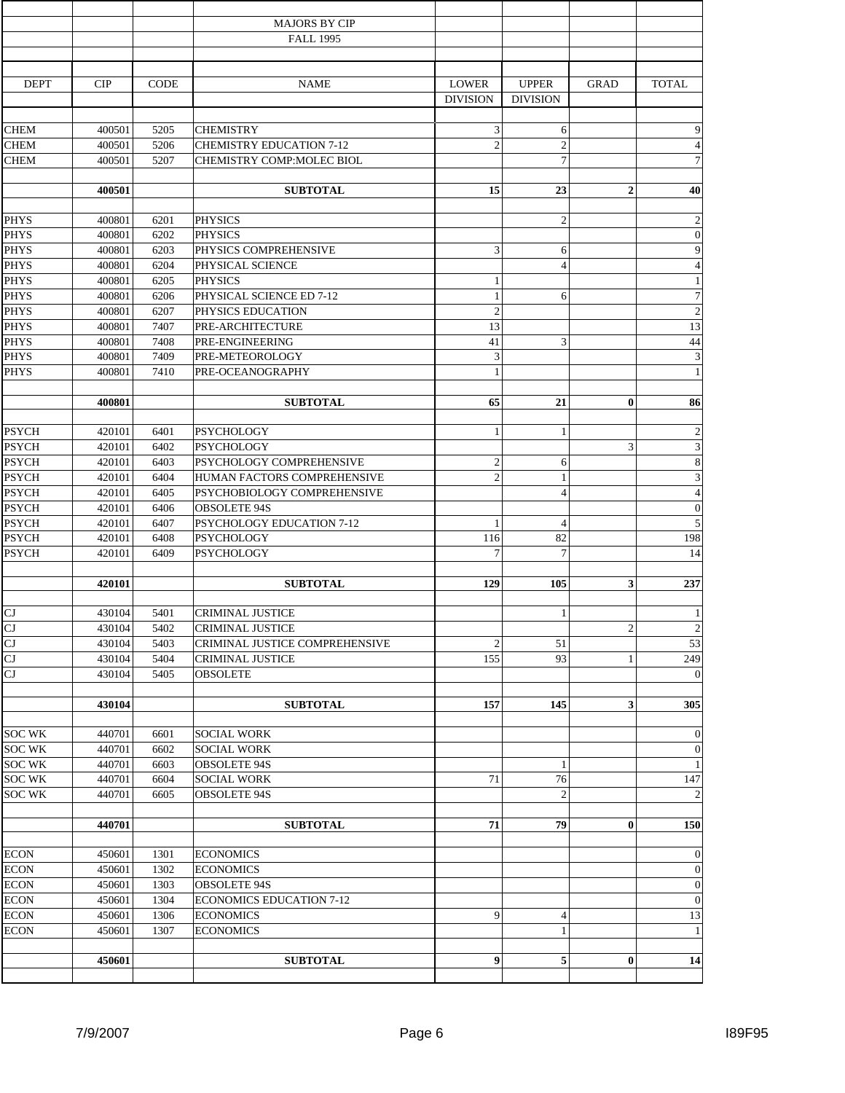|                            |                  |              | <b>MAJORS BY CIP</b>                 |                                 |                                 |                |                    |
|----------------------------|------------------|--------------|--------------------------------------|---------------------------------|---------------------------------|----------------|--------------------|
|                            |                  |              | <b>FALL 1995</b>                     |                                 |                                 |                |                    |
|                            |                  |              |                                      |                                 |                                 |                |                    |
| <b>DEPT</b>                | <b>CIP</b>       | <b>CODE</b>  | <b>NAME</b>                          | <b>LOWER</b><br><b>DIVISION</b> | <b>UPPER</b><br><b>DIVISION</b> | <b>GRAD</b>    | <b>TOTAL</b>       |
| <b>CHEM</b>                |                  | 5205         | <b>CHEMISTRY</b>                     | $\mathfrak{Z}$                  | 6                               |                | 9                  |
| <b>CHEM</b>                | 400501<br>400501 | 5206         | <b>CHEMISTRY EDUCATION 7-12</b>      | $\overline{2}$                  | $\overline{c}$                  |                | $\overline{4}$     |
| <b>CHEM</b>                | 400501           | 5207         | CHEMISTRY COMP:MOLEC BIOL            |                                 | $\overline{7}$                  |                | $\overline{7}$     |
|                            |                  |              |                                      |                                 |                                 |                |                    |
|                            | 400501           |              | <b>SUBTOTAL</b>                      | 15                              | 23                              | $\overline{2}$ | 40                 |
| <b>PHYS</b>                | 400801           | 6201         | <b>PHYSICS</b>                       |                                 | $\overline{2}$                  |                | $\overline{2}$     |
| <b>PHYS</b>                | 400801           | 6202         | <b>PHYSICS</b>                       |                                 |                                 |                | $\boldsymbol{0}$   |
| <b>PHYS</b>                | 400801           | 6203         | PHYSICS COMPREHENSIVE                | 3                               | 6                               |                | 9                  |
| <b>PHYS</b>                | 400801           | 6204         | PHYSICAL SCIENCE                     |                                 | $\overline{4}$                  |                | $\overline{4}$     |
| <b>PHYS</b>                | 400801           | 6205         | <b>PHYSICS</b>                       | $\mathbf{1}$                    |                                 |                | $\mathbf{1}$       |
| <b>PHYS</b>                | 400801           | 6206         | PHYSICAL SCIENCE ED 7-12             | $\mathbf{1}$                    | 6                               |                | $\overline{7}$     |
| <b>PHYS</b>                | 400801           | 6207         | PHYSICS EDUCATION                    | $\overline{2}$                  |                                 |                | $\overline{c}$     |
| <b>PHYS</b>                | 400801           | 7407         | PRE-ARCHITECTURE                     | 13                              |                                 |                | 13                 |
| <b>PHYS</b>                | 400801           | 7408         | PRE-ENGINEERING                      | 41                              | 3                               |                | 44                 |
| <b>PHYS</b>                | 400801           | 7409         | PRE-METEOROLOGY                      | 3                               |                                 |                | 3                  |
| <b>PHYS</b>                | 400801           | 7410         | PRE-OCEANOGRAPHY                     | $\mathbf{1}$                    |                                 |                | $\mathbf{1}$       |
|                            | 400801           |              | <b>SUBTOTAL</b>                      | 65                              | 21                              | $\mathbf{0}$   | 86                 |
| <b>PSYCH</b>               | 420101           | 6401         | <b>PSYCHOLOGY</b>                    | 1                               | 1                               |                | $\overline{2}$     |
| <b>PSYCH</b>               | 420101           | 6402         | <b>PSYCHOLOGY</b>                    |                                 |                                 | 3              | 3                  |
| <b>PSYCH</b>               | 420101           | 6403         | PSYCHOLOGY COMPREHENSIVE             | $\sqrt{2}$                      | 6                               |                | 8                  |
| <b>PSYCH</b>               | 420101           | 6404         | HUMAN FACTORS COMPREHENSIVE          | $\overline{2}$                  | $\mathbf{1}$                    |                | 3                  |
| <b>PSYCH</b>               | 420101           | 6405         | PSYCHOBIOLOGY COMPREHENSIVE          |                                 | $\overline{4}$                  |                | $\overline{4}$     |
| <b>PSYCH</b>               | 420101           | 6406         | <b>OBSOLETE 94S</b>                  |                                 |                                 |                | $\boldsymbol{0}$   |
| <b>PSYCH</b>               | 420101           | 6407         | PSYCHOLOGY EDUCATION 7-12            | $\mathbf{1}$                    | $\overline{4}$                  |                | 5                  |
| <b>PSYCH</b>               | 420101           | 6408         | <b>PSYCHOLOGY</b>                    | 116                             | 82                              |                | 198                |
| <b>PSYCH</b>               | 420101           | 6409         | PSYCHOLOGY                           | 7                               | 7                               |                | 14                 |
|                            |                  |              |                                      |                                 |                                 |                |                    |
|                            | 420101           |              | <b>SUBTOTAL</b>                      | 129                             | 105                             | 3              | 237                |
|                            |                  |              |                                      |                                 |                                 |                |                    |
| CJ                         | 430104           | 5401         | <b>CRIMINAL JUSTICE</b>              |                                 | $\mathbf{1}$                    |                | 1                  |
| <b>CJ</b>                  | 430104           | 5402         | <b>CRIMINAL JUSTICE</b>              |                                 |                                 | $\overline{2}$ | $\overline{2}$     |
| $\overline{C}$             | 430104           | 5403         | CRIMINAL JUSTICE COMPREHENSIVE       | $\overline{2}$                  | 51                              |                | 53                 |
| CJ                         | 430104           | 5404         | <b>CRIMINAL JUSTICE</b>              | 155                             | 93                              | 1              | 249                |
| CJ                         | 430104           | 5405         | <b>OBSOLETE</b>                      |                                 |                                 |                | $\boldsymbol{0}$   |
|                            | 430104           |              | <b>SUBTOTAL</b>                      | 157                             | 145                             | 3              | 305                |
| <b>SOC WK</b>              | 440701           | 6601         | <b>SOCIAL WORK</b>                   |                                 |                                 |                | $\boldsymbol{0}$   |
| <b>SOC WK</b>              | 440701           | 6602         | <b>SOCIAL WORK</b>                   |                                 |                                 |                | $\boldsymbol{0}$   |
| <b>SOC WK</b>              | 440701           | 6603         | <b>OBSOLETE 94S</b>                  |                                 | 1                               |                | $\mathbf{1}$       |
| <b>SOC WK</b>              | 440701           | 6604         | <b>SOCIAL WORK</b>                   | 71                              | 76                              |                | 147                |
| <b>SOC WK</b>              | 440701           | 6605         | <b>OBSOLETE 94S</b>                  |                                 | $\mathbf{2}$                    |                | $\overline{c}$     |
|                            | 440701           |              | <b>SUBTOTAL</b>                      | 71                              | 79                              | $\bf{0}$       | 150                |
|                            |                  |              |                                      |                                 |                                 |                |                    |
| <b>ECON</b>                | 450601           | 1301         | <b>ECONOMICS</b>                     |                                 |                                 |                | $\boldsymbol{0}$   |
| <b>ECON</b>                | 450601           | 1302         | <b>ECONOMICS</b>                     |                                 |                                 |                | $\boldsymbol{0}$   |
| <b>ECON</b>                | 450601           | 1303<br>1304 | <b>OBSOLETE 94S</b>                  |                                 |                                 |                | $\boldsymbol{0}$   |
| <b>ECON</b>                | 450601           |              | <b>ECONOMICS EDUCATION 7-12</b>      |                                 |                                 |                | $\boldsymbol{0}$   |
| <b>ECON</b><br><b>ECON</b> | 450601<br>450601 | 1306<br>1307 | <b>ECONOMICS</b><br><b>ECONOMICS</b> | 9                               | $\overline{4}$<br>$\mathbf{1}$  |                | 13<br>$\mathbf{1}$ |
|                            |                  |              |                                      |                                 |                                 |                |                    |
|                            | 450601           |              | <b>SUBTOTAL</b>                      | 9                               | 5                               | $\bf{0}$       | 14                 |
|                            |                  |              |                                      |                                 |                                 |                |                    |
|                            |                  |              |                                      |                                 |                                 |                |                    |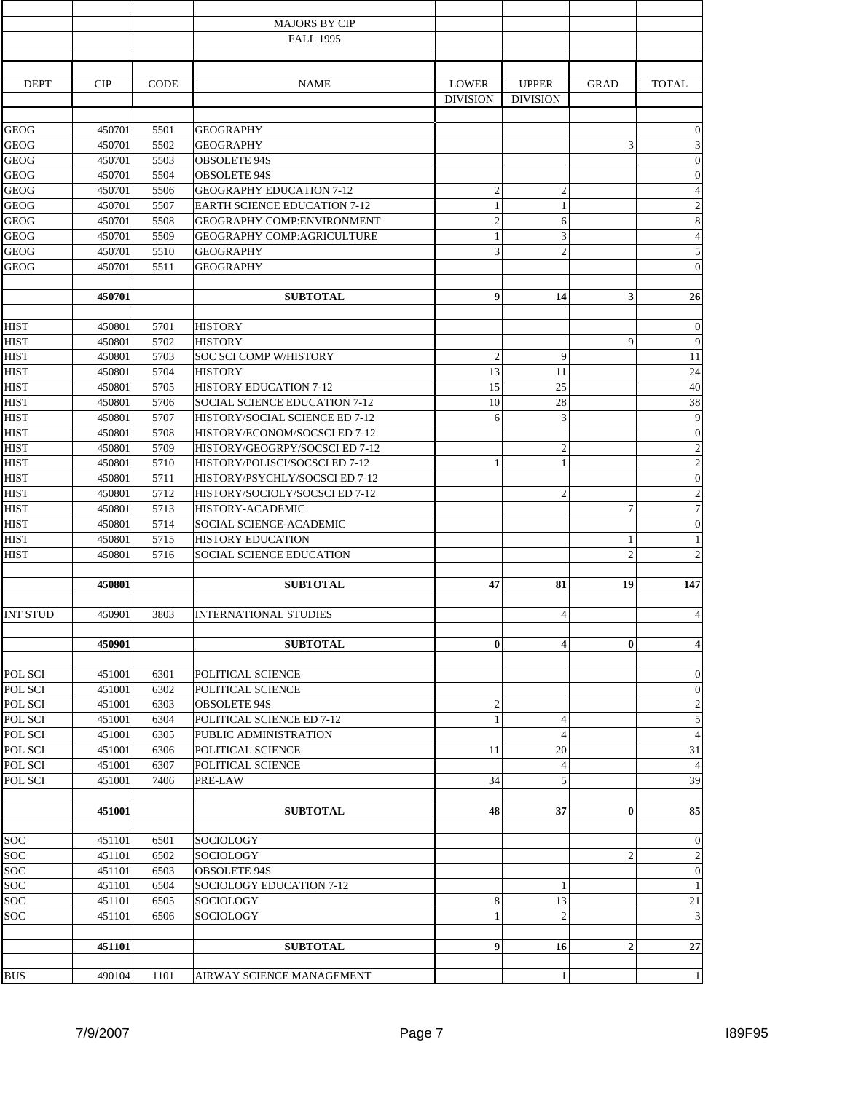|                            |                  |              | <b>MAJORS BY CIP</b><br><b>FALL 1995</b>            |                                 |                                 |                |                                  |
|----------------------------|------------------|--------------|-----------------------------------------------------|---------------------------------|---------------------------------|----------------|----------------------------------|
|                            |                  |              |                                                     |                                 |                                 |                |                                  |
| <b>DEPT</b>                | CIP              | <b>CODE</b>  | <b>NAME</b>                                         | <b>LOWER</b><br><b>DIVISION</b> | <b>UPPER</b><br><b>DIVISION</b> | <b>GRAD</b>    | <b>TOTAL</b>                     |
| <b>GEOG</b>                | 450701           | 5501         | <b>GEOGRAPHY</b>                                    |                                 |                                 |                | $\overline{0}$                   |
| <b>GEOG</b>                | 450701           | 5502         | <b>GEOGRAPHY</b>                                    |                                 |                                 | 3              | 3                                |
| <b>GEOG</b>                | 450701           | 5503         | <b>OBSOLETE 94S</b>                                 |                                 |                                 |                | $\boldsymbol{0}$                 |
| <b>GEOG</b>                | 450701           | 5504         | <b>OBSOLETE 94S</b>                                 |                                 |                                 |                | $\boldsymbol{0}$                 |
| <b>GEOG</b>                | 450701           | 5506         | <b>GEOGRAPHY EDUCATION 7-12</b>                     | $\overline{2}$                  | $\overline{c}$                  |                | $\overline{4}$                   |
| <b>GEOG</b>                | 450701           | 5507         | <b>EARTH SCIENCE EDUCATION 7-12</b>                 | $\mathbf{1}$                    | $\mathbf{1}$                    |                | $\overline{c}$                   |
| <b>GEOG</b>                | 450701           | 5508         | GEOGRAPHY COMP:ENVIRONMENT                          | $\overline{2}$                  | 6                               |                | 8                                |
| <b>GEOG</b>                | 450701           | 5509         | GEOGRAPHY COMP:AGRICULTURE                          | 1                               | 3                               |                | $\overline{4}$                   |
| <b>GEOG</b>                | 450701           | 5510         | <b>GEOGRAPHY</b>                                    | 3                               | $\overline{c}$                  |                | 5                                |
| <b>GEOG</b>                | 450701           | 5511         | <b>GEOGRAPHY</b>                                    |                                 |                                 |                | $\theta$                         |
|                            | 450701           |              | <b>SUBTOTAL</b>                                     | 9                               | 14                              | 3              | 26                               |
| <b>HIST</b>                | 450801           | 5701         | <b>HISTORY</b>                                      |                                 |                                 |                | $\boldsymbol{0}$                 |
| <b>HIST</b>                | 450801           | 5702         | <b>HISTORY</b>                                      |                                 |                                 | 9              | 9                                |
| <b>HIST</b>                | 450801           | 5703         | SOC SCI COMP W/HISTORY                              | $\overline{2}$                  | 9                               |                | 11                               |
| <b>HIST</b>                | 450801           | 5704         | <b>HISTORY</b>                                      | 13                              | 11                              |                | 24                               |
| <b>HIST</b>                | 450801           | 5705         | <b>HISTORY EDUCATION 7-12</b>                       | 15                              | 25                              |                | 40                               |
| <b>HIST</b>                | 450801           | 5706         | <b>SOCIAL SCIENCE EDUCATION 7-12</b>                | 10                              | 28                              |                | 38                               |
| <b>HIST</b>                | 450801           | 5707         | HISTORY/SOCIAL SCIENCE ED 7-12                      | 6                               | 3                               |                | 9                                |
| <b>HIST</b>                | 450801           | 5708         | HISTORY/ECONOM/SOCSCI ED 7-12                       |                                 |                                 |                | $\mathbf{0}$                     |
| <b>HIST</b>                | 450801           | 5709         | HISTORY/GEOGRPY/SOCSCI ED 7-12                      |                                 | $\overline{c}$                  |                | $\overline{c}$                   |
| <b>HIST</b>                | 450801           | 5710         | HISTORY/POLISCI/SOCSCI ED 7-12                      | 1                               | $\mathbf{1}$                    |                | $\overline{2}$                   |
| <b>HIST</b>                | 450801           | 5711         | HISTORY/PSYCHLY/SOCSCI ED 7-12                      |                                 |                                 |                | $\boldsymbol{0}$                 |
| <b>HIST</b>                | 450801           | 5712         | HISTORY/SOCIOLY/SOCSCI ED 7-12                      |                                 | $\overline{2}$                  |                | $\overline{c}$                   |
| <b>HIST</b><br><b>HIST</b> | 450801           | 5713         | HISTORY-ACADEMIC                                    |                                 |                                 | $\overline{7}$ | $\overline{7}$                   |
| <b>HIST</b>                | 450801<br>450801 | 5714<br>5715 | SOCIAL SCIENCE-ACADEMIC<br><b>HISTORY EDUCATION</b> |                                 |                                 | 1              | $\boldsymbol{0}$<br>$\mathbf{1}$ |
| <b>HIST</b>                | 450801           | 5716         | <b>SOCIAL SCIENCE EDUCATION</b>                     |                                 |                                 | $\overline{2}$ | $\overline{2}$                   |
|                            | 450801           |              | <b>SUBTOTAL</b>                                     | 47                              | 81                              | 19             | 147                              |
| <b>INT STUD</b>            | 450901           | 3803         | <b>INTERNATIONAL STUDIES</b>                        |                                 | $\overline{4}$                  |                | $\overline{4}$                   |
|                            | 450901           |              | <b>SUBTOTAL</b>                                     | $\bf{0}$                        | $\overline{\mathbf{4}}$         | $\bf{0}$       | $\overline{\mathbf{4}}$          |
|                            |                  |              |                                                     |                                 |                                 |                |                                  |
| POL SCI                    | 451001           | 6301         | POLITICAL SCIENCE                                   |                                 |                                 |                | $\boldsymbol{0}$                 |
| POL SCI                    | 451001           | 6302         | POLITICAL SCIENCE                                   |                                 |                                 |                | $\theta$                         |
| POL SCI                    | 451001           | 6303         | <b>OBSOLETE 94S</b>                                 | $\overline{2}$                  |                                 |                | $\overline{2}$                   |
| POL SCI                    | 451001           | 6304         | POLITICAL SCIENCE ED 7-12                           | 1                               | $\overline{4}$                  |                | 5                                |
| POL SCI                    | 451001           | 6305         | PUBLIC ADMINISTRATION                               |                                 | $\overline{4}$                  |                | $\overline{4}$                   |
| POL SCI<br>POL SCI         | 451001           | 6306         | POLITICAL SCIENCE                                   | 11                              | 20                              |                | 31                               |
| POL SCI                    | 451001<br>451001 | 6307<br>7406 | POLITICAL SCIENCE<br>PRE-LAW                        | 34                              | $\overline{4}$<br>5             |                | $\overline{4}$<br>39             |
|                            |                  |              |                                                     |                                 |                                 |                |                                  |
|                            | 451001           |              | <b>SUBTOTAL</b>                                     | 48                              | 37                              | $\bf{0}$       | 85                               |
| SOC                        | 451101           | 6501         | SOCIOLOGY                                           |                                 |                                 |                | $\boldsymbol{0}$                 |
| soc                        | 451101           | 6502         | SOCIOLOGY                                           |                                 |                                 | $\overline{2}$ | $\overline{2}$                   |
| SOC                        | 451101           | 6503         | <b>OBSOLETE 94S</b>                                 |                                 |                                 |                | $\theta$                         |
| SOC                        | 451101           | 6504         | SOCIOLOGY EDUCATION 7-12                            |                                 | 1                               |                | $\mathbf{1}$                     |
| <b>SOC</b>                 | 451101           | 6505         | SOCIOLOGY                                           | 8                               | 13                              |                | 21                               |
| <b>SOC</b>                 | 451101           | 6506         | SOCIOLOGY                                           | 1                               | $\overline{2}$                  |                | 3                                |
|                            | 451101           |              | <b>SUBTOTAL</b>                                     | $\boldsymbol{9}$                | 16                              | $\overline{2}$ | 27                               |
| <b>BUS</b>                 | 490104           | 1101         | AIRWAY SCIENCE MANAGEMENT                           |                                 | 1                               |                | 1                                |
|                            |                  |              |                                                     |                                 |                                 |                |                                  |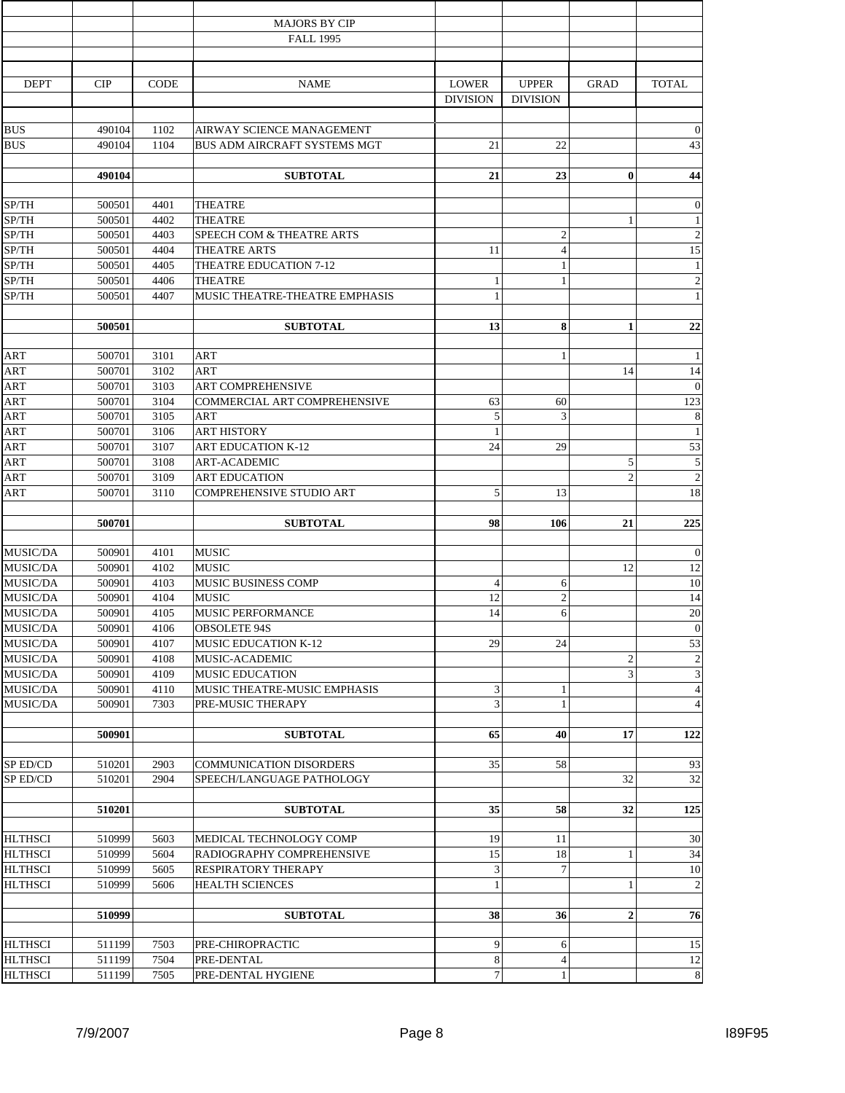|                           |                  |              | <b>MAJORS BY CIP</b>                            |                 |                 |                |                  |
|---------------------------|------------------|--------------|-------------------------------------------------|-----------------|-----------------|----------------|------------------|
|                           |                  |              | <b>FALL 1995</b>                                |                 |                 |                |                  |
|                           |                  |              |                                                 |                 |                 |                |                  |
| <b>DEPT</b>               | CIP              | <b>CODE</b>  | <b>NAME</b>                                     | <b>LOWER</b>    | <b>UPPER</b>    | <b>GRAD</b>    | <b>TOTAL</b>     |
|                           |                  |              |                                                 | <b>DIVISION</b> | <b>DIVISION</b> |                |                  |
| <b>BUS</b>                | 490104           | 1102         | AIRWAY SCIENCE MANAGEMENT                       |                 |                 |                | $\boldsymbol{0}$ |
| <b>BUS</b>                | 490104           | 1104         | BUS ADM AIRCRAFT SYSTEMS MGT                    | 21              | 22              |                | 43               |
|                           |                  |              |                                                 |                 |                 |                |                  |
|                           | 490104           |              | <b>SUBTOTAL</b>                                 | 21              | 23              | $\mathbf{0}$   | 44               |
| SP/TH                     | 500501           | 4401         | <b>THEATRE</b>                                  |                 |                 |                | $\boldsymbol{0}$ |
| $\overline{\text{SP}}$ TH | 500501           | 4402         | <b>THEATRE</b>                                  |                 |                 | 1              | $\mathbf{1}$     |
| SP/TH                     | 500501           | 4403         | SPEECH COM & THEATRE ARTS                       |                 | $\overline{c}$  |                | $\overline{2}$   |
| SP/TH                     | 500501           | 4404         | THEATRE ARTS                                    | 11              | $\overline{4}$  |                | 15               |
| SP/TH                     | 500501           | 4405         | THEATRE EDUCATION 7-12                          |                 | 1               |                | $\mathbf{1}$     |
| SP/TH                     | 500501           | 4406         | THEATRE                                         | 1               | $\mathbf{1}$    |                | $\overline{2}$   |
| SP/TH                     | 500501           | 4407         | MUSIC THEATRE-THEATRE EMPHASIS                  | $\mathbf{1}$    |                 |                | $\mathbf{1}$     |
|                           | 500501           |              | <b>SUBTOTAL</b>                                 | 13              | 8               | $\mathbf{1}$   | 22               |
|                           |                  |              |                                                 |                 |                 |                |                  |
| <b>ART</b>                | 500701           | 3101         | ART                                             |                 | 1               |                | 1                |
| <b>ART</b>                | 500701           | 3102         | ART                                             |                 |                 | 14             | 14               |
| ART<br><b>ART</b>         | 500701           | 3103         | ART COMPREHENSIVE                               |                 |                 |                | $\theta$         |
|                           | 500701           | 3104         | COMMERCIAL ART COMPREHENSIVE                    | 63              | 60              |                | 123              |
| <b>ART</b>                | 500701           | 3105         | <b>ART</b>                                      | 5               | 3               |                | 8                |
| <b>ART</b><br><b>ART</b>  | 500701<br>500701 | 3106<br>3107 | <b>ART HISTORY</b><br><b>ART EDUCATION K-12</b> | 1<br>24         | 29              |                | 1<br>53          |
| <b>ART</b>                | 500701           | 3108         | <b>ART-ACADEMIC</b>                             |                 |                 | 5              | 5                |
| <b>ART</b>                | 500701           | 3109         | <b>ART EDUCATION</b>                            |                 |                 | $\overline{c}$ | $\overline{c}$   |
| ART                       | 500701           | 3110         | COMPREHENSIVE STUDIO ART                        | 5               | 13              |                | 18               |
|                           |                  |              |                                                 |                 |                 |                |                  |
|                           | 500701           |              | <b>SUBTOTAL</b>                                 | 98              | 106             | 21             | 225              |
| MUSIC/DA                  | 500901           | 4101         | <b>MUSIC</b>                                    |                 |                 |                | $\boldsymbol{0}$ |
| MUSIC/DA                  | 500901           | 4102         | <b>MUSIC</b>                                    |                 |                 | 12             | 12               |
| MUSIC/DA                  | 500901           | 4103         | MUSIC BUSINESS COMP                             | $\overline{4}$  | 6               |                | 10               |
| MUSIC/DA                  | 500901           | 4104         | <b>MUSIC</b>                                    | 12              | $\overline{c}$  |                | 14               |
| MUSIC/DA                  | 500901           | 4105         | MUSIC PERFORMANCE                               | 14              | 6               |                | 20               |
| MUSIC/DA                  | 500901           | 4106         | <b>OBSOLETE 94S</b>                             |                 |                 |                | $\overline{0}$   |
| MUSIC/DA                  | 500901           | 4107         | <b>MUSIC EDUCATION K-12</b>                     | 29              | 24              |                | 53               |
| MUSIC/DA                  | 500901           | 4108         | MUSIC-ACADEMIC                                  |                 |                 | $\overline{2}$ | $\overline{c}$   |
| MUSIC/DA                  | 500901           | 4109         | <b>MUSIC EDUCATION</b>                          |                 |                 | 3              | 3                |
| MUSIC/DA                  | 500901           | 4110         | MUSIC THEATRE-MUSIC EMPHASIS                    | 3               | 1               |                | $\overline{4}$   |
| <b>MUSIC/DA</b>           | 500901           | 7303         | PRE-MUSIC THERAPY                               | 3               | $\mathbf{1}$    |                | $\overline{4}$   |
|                           | 500901           |              | <b>SUBTOTAL</b>                                 | 65              | 40              | 17             | 122              |
|                           |                  |              |                                                 |                 |                 |                |                  |
| SP ED/CD                  | 510201           | 2903         | <b>COMMUNICATION DISORDERS</b>                  | 35              | 58              |                | 93               |
| SP ED/CD                  | 510201           | 2904         | SPEECH/LANGUAGE PATHOLOGY                       |                 |                 | 32             | 32               |
|                           |                  |              |                                                 | 35              | 58              | 32             |                  |
|                           | 510201           |              | <b>SUBTOTAL</b>                                 |                 |                 |                | 125              |
| <b>HLTHSCI</b>            | 510999           | 5603         | MEDICAL TECHNOLOGY COMP                         | 19              | 11              |                | 30               |
| <b>HLTHSCI</b>            | 510999           | 5604         | RADIOGRAPHY COMPREHENSIVE                       | 15              | 18              | 1              | 34               |
| <b>HLTHSCI</b>            | 510999           | 5605         | RESPIRATORY THERAPY                             | $\mathfrak{Z}$  | $\overline{7}$  |                | 10               |
| <b>HLTHSCI</b>            | 510999           | 5606         | HEALTH SCIENCES                                 | -1              |                 | 1              | $\overline{2}$   |
|                           |                  |              |                                                 |                 |                 |                |                  |
|                           | 510999           |              | <b>SUBTOTAL</b>                                 | 38              | 36              | $\overline{2}$ | 76               |
| <b>HLTHSCI</b>            | 511199           | 7503         | PRE-CHIROPRACTIC                                | 9               | 6               |                | 15               |
| <b>HLTHSCI</b>            | 511199           | 7504         | PRE-DENTAL                                      | $\,$ 8 $\,$     | $\overline{4}$  |                | 12               |
| <b>HLTHSCI</b>            | 511199           | 7505         | PRE-DENTAL HYGIENE                              | $\overline{7}$  | $\mathbf{1}$    |                | 8                |
|                           |                  |              |                                                 |                 |                 |                |                  |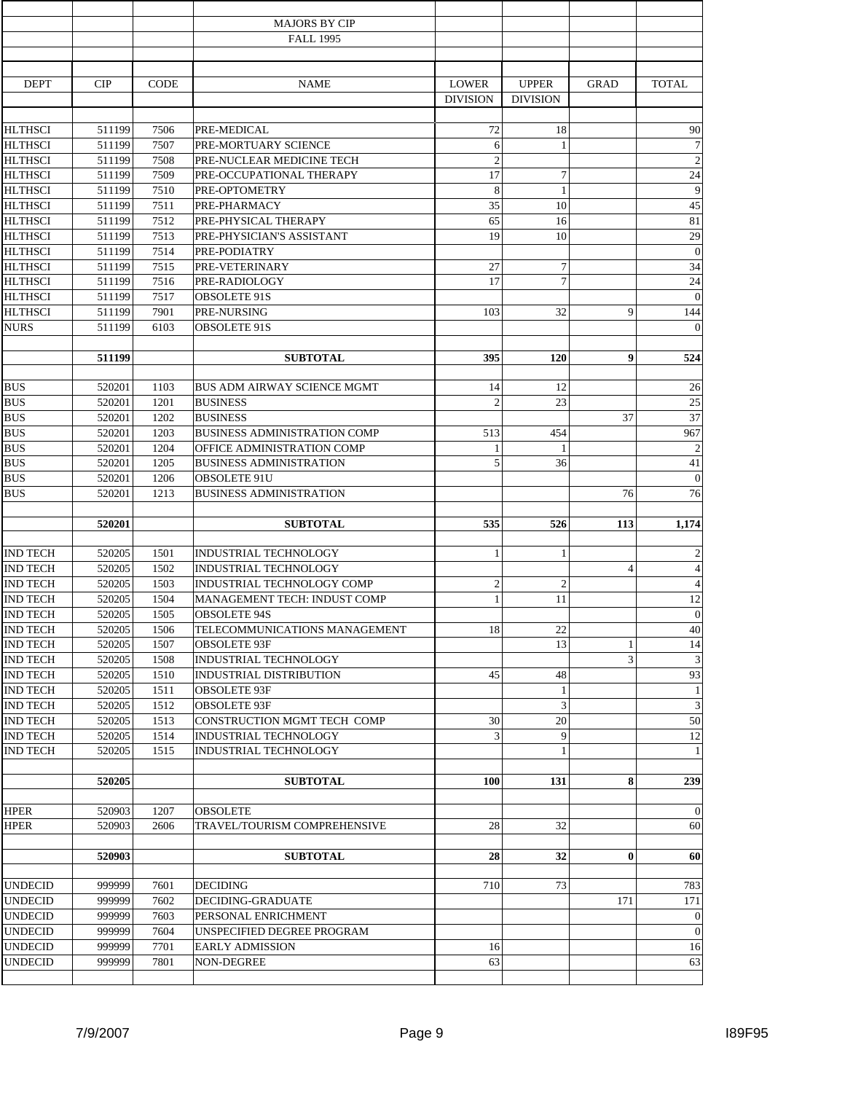| <b>MAJORS BY CIP</b><br><b>FALL 1995</b><br><b>DEPT</b><br><b>NAME</b><br><b>LOWER</b><br><b>UPPER</b><br><b>TOTAL</b><br>CIP<br><b>CODE</b><br><b>GRAD</b><br><b>DIVISION</b><br><b>DIVISION</b><br><b>HLTHSCI</b><br>72<br>7506<br>PRE-MEDICAL<br>18<br>90<br>511199<br><b>HLTHSCI</b><br>$\overline{7}$<br>511199<br>7507<br>PRE-MORTUARY SCIENCE<br>6<br>1<br><b>HLTHSCI</b><br>$\overline{c}$<br>$\overline{2}$<br>511199<br>7508<br>PRE-NUCLEAR MEDICINE TECH<br>$\tau$<br><b>HLTHSCI</b><br>17<br>7509<br>PRE-OCCUPATIONAL THERAPY<br>24<br>511199<br>8<br><b>HLTHSCI</b><br>511199<br>7510<br>PRE-OPTOMETRY<br>$\mathbf{1}$<br>35<br>10<br>45<br><b>HLTHSCI</b><br>511199<br>7511<br>PRE-PHARMACY<br>65<br>81<br><b>HLTHSCI</b><br>7512<br>PRE-PHYSICAL THERAPY<br>16<br>511199<br>19<br><b>HLTHSCI</b><br>10<br>511199<br>7513<br>PRE-PHYSICIAN'S ASSISTANT<br>29<br><b>HLTHSCI</b><br>$\boldsymbol{0}$<br>511199<br>7514<br>PRE-PODIATRY<br>$\tau$<br>27<br><b>HLTHSCI</b><br>511199<br>7515<br>PRE-VETERINARY<br>34<br>$\overline{7}$<br><b>HLTHSCI</b><br>7516<br>PRE-RADIOLOGY<br>17<br>24<br>511199<br>$\overline{0}$<br><b>HLTHSCI</b><br>7517<br><b>OBSOLETE 91S</b><br>511199<br>32<br>9<br><b>HLTHSCI</b><br>7901<br>PRE-NURSING<br>103<br>144<br>511199<br><b>NURS</b><br>511199<br>6103<br><b>OBSOLETE 91S</b><br>395<br>$\boldsymbol{9}$<br>511199<br><b>SUBTOTAL</b><br>120<br>1103<br>14<br>12<br>26<br><b>BUS</b><br>520201<br><b>BUS ADM AIRWAY SCIENCE MGMT</b><br>23<br><b>BUS</b><br>1201<br>$\mathfrak{D}$<br>25<br>520201<br><b>BUSINESS</b><br><b>BUS</b><br>37<br>37<br>1202<br><b>BUSINESS</b><br>520201<br><b>BUS</b><br>520201<br>1203<br><b>BUSINESS ADMINISTRATION COMP</b><br>513<br>454<br>967<br><b>BUS</b><br>$\overline{2}$<br>520201<br>1204<br>OFFICE ADMINISTRATION COMP<br>1<br>1<br><b>BUS</b><br>5<br>1205<br><b>BUSINESS ADMINISTRATION</b><br>36<br>41<br>520201<br><b>BUS</b><br>520201<br>1206<br><b>OBSOLETE 91U</b><br>$\overline{0}$<br><b>BUS</b><br>76<br>520201<br>1213<br><b>BUSINESS ADMINISTRATION</b><br>76<br>520201<br><b>SUBTOTAL</b><br>535<br>526<br>1,174<br>113<br>$\overline{2}$<br><b>IND TECH</b><br>520205<br>1501<br>INDUSTRIAL TECHNOLOGY<br>1<br>1<br><b>IND TECH</b><br>$\overline{4}$<br>520205<br>1502<br>INDUSTRIAL TECHNOLOGY<br>$\overline{4}$<br><b>IND TECH</b><br>$\overline{2}$<br>$\mathbf{2}$<br>520205<br>1503<br>INDUSTRIAL TECHNOLOGY COMP<br>$\overline{4}$<br><b>IND TECH</b><br>11<br>520205<br>1504<br>MANAGEMENT TECH: INDUST COMP<br>$\mathbf{1}$<br>12<br><b>IND TECH</b><br>520205<br><b>OBSOLETE 94S</b><br>$\theta$<br>1505<br><b>IND TECH</b><br>18<br>22<br>520205<br>1506<br>TELECOMMUNICATIONS MANAGEMENT<br>40<br>13<br><b>IND TECH</b><br>520205<br>1507<br><b>OBSOLETE 93F</b><br>$\mathbf{1}$<br>14<br>3<br>1508<br>3<br><b>IND TECH</b><br>520205<br>INDUSTRIAL TECHNOLOGY<br><b>IND TECH</b><br>520205<br>1510<br><b>INDUSTRIAL DISTRIBUTION</b><br>45<br>48<br>93<br><b>IND TECH</b><br>520205<br>1511<br>OBSOLETE 93F<br>$\mathbf{1}$<br>$\mathbf{1}$<br>3<br><b>IND TECH</b><br>520205<br>1512<br><b>OBSOLETE 93F</b><br>3<br><b>IND TECH</b><br>520205<br>1513<br>CONSTRUCTION MGMT TECH COMP<br>30<br>20<br>50<br>3<br>9<br>520205<br>1514<br>INDUSTRIAL TECHNOLOGY<br>12<br><b>IND TECH</b><br>$\mathbf{1}$<br>$\mathbf{1}$<br><b>IND TECH</b><br>520205<br>1515<br>INDUSTRIAL TECHNOLOGY<br>8<br>520205<br><b>SUBTOTAL</b><br>100<br>131<br>239<br>1207<br>520903<br><b>OBSOLETE</b><br>2606<br>TRAVEL/TOURISM COMPREHENSIVE<br>28<br>32<br>520903<br>$\mathbf{0}$<br>520903<br><b>SUBTOTAL</b><br>28<br>32<br>999999<br><b>UNDECID</b><br>7601<br><b>DECIDING</b><br>710<br>73<br>783<br>999999<br>7602<br><b>UNDECID</b><br>DECIDING-GRADUATE<br>171<br>171<br>999999<br><b>UNDECID</b><br>7603<br>PERSONAL ENRICHMENT<br>999999<br><b>UNDECID</b><br>$\boldsymbol{0}$<br>7604<br>UNSPECIFIED DEGREE PROGRAM<br><b>UNDECID</b><br>999999<br>7701<br>16<br><b>EARLY ADMISSION</b><br>16<br><b>UNDECID</b><br>999999<br>7801<br>NON-DEGREE<br>63<br>63 |             |  |  |  |                  |
|------------------------------------------------------------------------------------------------------------------------------------------------------------------------------------------------------------------------------------------------------------------------------------------------------------------------------------------------------------------------------------------------------------------------------------------------------------------------------------------------------------------------------------------------------------------------------------------------------------------------------------------------------------------------------------------------------------------------------------------------------------------------------------------------------------------------------------------------------------------------------------------------------------------------------------------------------------------------------------------------------------------------------------------------------------------------------------------------------------------------------------------------------------------------------------------------------------------------------------------------------------------------------------------------------------------------------------------------------------------------------------------------------------------------------------------------------------------------------------------------------------------------------------------------------------------------------------------------------------------------------------------------------------------------------------------------------------------------------------------------------------------------------------------------------------------------------------------------------------------------------------------------------------------------------------------------------------------------------------------------------------------------------------------------------------------------------------------------------------------------------------------------------------------------------------------------------------------------------------------------------------------------------------------------------------------------------------------------------------------------------------------------------------------------------------------------------------------------------------------------------------------------------------------------------------------------------------------------------------------------------------------------------------------------------------------------------------------------------------------------------------------------------------------------------------------------------------------------------------------------------------------------------------------------------------------------------------------------------------------------------------------------------------------------------------------------------------------------------------------------------------------------------------------------------------------------------------------------------------------------------------------------------------------------------------------------------------------------------------------------------------------------------------------------------------------------------------------------------------------------------------------------------------------------------------------------------------------------------------------------------------------------------------------------------------------------------------------------------------------------------------------------------------------------------------------------------------------------------------------------------------------------------------------------------------------------------------------------------------------------------------------------------------------------------------------------------|-------------|--|--|--|------------------|
|                                                                                                                                                                                                                                                                                                                                                                                                                                                                                                                                                                                                                                                                                                                                                                                                                                                                                                                                                                                                                                                                                                                                                                                                                                                                                                                                                                                                                                                                                                                                                                                                                                                                                                                                                                                                                                                                                                                                                                                                                                                                                                                                                                                                                                                                                                                                                                                                                                                                                                                                                                                                                                                                                                                                                                                                                                                                                                                                                                                                                                                                                                                                                                                                                                                                                                                                                                                                                                                                                                                                                                                                                                                                                                                                                                                                                                                                                                                                                                                                                                                                              |             |  |  |  |                  |
|                                                                                                                                                                                                                                                                                                                                                                                                                                                                                                                                                                                                                                                                                                                                                                                                                                                                                                                                                                                                                                                                                                                                                                                                                                                                                                                                                                                                                                                                                                                                                                                                                                                                                                                                                                                                                                                                                                                                                                                                                                                                                                                                                                                                                                                                                                                                                                                                                                                                                                                                                                                                                                                                                                                                                                                                                                                                                                                                                                                                                                                                                                                                                                                                                                                                                                                                                                                                                                                                                                                                                                                                                                                                                                                                                                                                                                                                                                                                                                                                                                                                              |             |  |  |  |                  |
|                                                                                                                                                                                                                                                                                                                                                                                                                                                                                                                                                                                                                                                                                                                                                                                                                                                                                                                                                                                                                                                                                                                                                                                                                                                                                                                                                                                                                                                                                                                                                                                                                                                                                                                                                                                                                                                                                                                                                                                                                                                                                                                                                                                                                                                                                                                                                                                                                                                                                                                                                                                                                                                                                                                                                                                                                                                                                                                                                                                                                                                                                                                                                                                                                                                                                                                                                                                                                                                                                                                                                                                                                                                                                                                                                                                                                                                                                                                                                                                                                                                                              |             |  |  |  |                  |
|                                                                                                                                                                                                                                                                                                                                                                                                                                                                                                                                                                                                                                                                                                                                                                                                                                                                                                                                                                                                                                                                                                                                                                                                                                                                                                                                                                                                                                                                                                                                                                                                                                                                                                                                                                                                                                                                                                                                                                                                                                                                                                                                                                                                                                                                                                                                                                                                                                                                                                                                                                                                                                                                                                                                                                                                                                                                                                                                                                                                                                                                                                                                                                                                                                                                                                                                                                                                                                                                                                                                                                                                                                                                                                                                                                                                                                                                                                                                                                                                                                                                              |             |  |  |  |                  |
|                                                                                                                                                                                                                                                                                                                                                                                                                                                                                                                                                                                                                                                                                                                                                                                                                                                                                                                                                                                                                                                                                                                                                                                                                                                                                                                                                                                                                                                                                                                                                                                                                                                                                                                                                                                                                                                                                                                                                                                                                                                                                                                                                                                                                                                                                                                                                                                                                                                                                                                                                                                                                                                                                                                                                                                                                                                                                                                                                                                                                                                                                                                                                                                                                                                                                                                                                                                                                                                                                                                                                                                                                                                                                                                                                                                                                                                                                                                                                                                                                                                                              |             |  |  |  |                  |
|                                                                                                                                                                                                                                                                                                                                                                                                                                                                                                                                                                                                                                                                                                                                                                                                                                                                                                                                                                                                                                                                                                                                                                                                                                                                                                                                                                                                                                                                                                                                                                                                                                                                                                                                                                                                                                                                                                                                                                                                                                                                                                                                                                                                                                                                                                                                                                                                                                                                                                                                                                                                                                                                                                                                                                                                                                                                                                                                                                                                                                                                                                                                                                                                                                                                                                                                                                                                                                                                                                                                                                                                                                                                                                                                                                                                                                                                                                                                                                                                                                                                              |             |  |  |  |                  |
|                                                                                                                                                                                                                                                                                                                                                                                                                                                                                                                                                                                                                                                                                                                                                                                                                                                                                                                                                                                                                                                                                                                                                                                                                                                                                                                                                                                                                                                                                                                                                                                                                                                                                                                                                                                                                                                                                                                                                                                                                                                                                                                                                                                                                                                                                                                                                                                                                                                                                                                                                                                                                                                                                                                                                                                                                                                                                                                                                                                                                                                                                                                                                                                                                                                                                                                                                                                                                                                                                                                                                                                                                                                                                                                                                                                                                                                                                                                                                                                                                                                                              |             |  |  |  |                  |
|                                                                                                                                                                                                                                                                                                                                                                                                                                                                                                                                                                                                                                                                                                                                                                                                                                                                                                                                                                                                                                                                                                                                                                                                                                                                                                                                                                                                                                                                                                                                                                                                                                                                                                                                                                                                                                                                                                                                                                                                                                                                                                                                                                                                                                                                                                                                                                                                                                                                                                                                                                                                                                                                                                                                                                                                                                                                                                                                                                                                                                                                                                                                                                                                                                                                                                                                                                                                                                                                                                                                                                                                                                                                                                                                                                                                                                                                                                                                                                                                                                                                              |             |  |  |  |                  |
|                                                                                                                                                                                                                                                                                                                                                                                                                                                                                                                                                                                                                                                                                                                                                                                                                                                                                                                                                                                                                                                                                                                                                                                                                                                                                                                                                                                                                                                                                                                                                                                                                                                                                                                                                                                                                                                                                                                                                                                                                                                                                                                                                                                                                                                                                                                                                                                                                                                                                                                                                                                                                                                                                                                                                                                                                                                                                                                                                                                                                                                                                                                                                                                                                                                                                                                                                                                                                                                                                                                                                                                                                                                                                                                                                                                                                                                                                                                                                                                                                                                                              |             |  |  |  |                  |
|                                                                                                                                                                                                                                                                                                                                                                                                                                                                                                                                                                                                                                                                                                                                                                                                                                                                                                                                                                                                                                                                                                                                                                                                                                                                                                                                                                                                                                                                                                                                                                                                                                                                                                                                                                                                                                                                                                                                                                                                                                                                                                                                                                                                                                                                                                                                                                                                                                                                                                                                                                                                                                                                                                                                                                                                                                                                                                                                                                                                                                                                                                                                                                                                                                                                                                                                                                                                                                                                                                                                                                                                                                                                                                                                                                                                                                                                                                                                                                                                                                                                              |             |  |  |  |                  |
|                                                                                                                                                                                                                                                                                                                                                                                                                                                                                                                                                                                                                                                                                                                                                                                                                                                                                                                                                                                                                                                                                                                                                                                                                                                                                                                                                                                                                                                                                                                                                                                                                                                                                                                                                                                                                                                                                                                                                                                                                                                                                                                                                                                                                                                                                                                                                                                                                                                                                                                                                                                                                                                                                                                                                                                                                                                                                                                                                                                                                                                                                                                                                                                                                                                                                                                                                                                                                                                                                                                                                                                                                                                                                                                                                                                                                                                                                                                                                                                                                                                                              |             |  |  |  | 9                |
|                                                                                                                                                                                                                                                                                                                                                                                                                                                                                                                                                                                                                                                                                                                                                                                                                                                                                                                                                                                                                                                                                                                                                                                                                                                                                                                                                                                                                                                                                                                                                                                                                                                                                                                                                                                                                                                                                                                                                                                                                                                                                                                                                                                                                                                                                                                                                                                                                                                                                                                                                                                                                                                                                                                                                                                                                                                                                                                                                                                                                                                                                                                                                                                                                                                                                                                                                                                                                                                                                                                                                                                                                                                                                                                                                                                                                                                                                                                                                                                                                                                                              |             |  |  |  |                  |
|                                                                                                                                                                                                                                                                                                                                                                                                                                                                                                                                                                                                                                                                                                                                                                                                                                                                                                                                                                                                                                                                                                                                                                                                                                                                                                                                                                                                                                                                                                                                                                                                                                                                                                                                                                                                                                                                                                                                                                                                                                                                                                                                                                                                                                                                                                                                                                                                                                                                                                                                                                                                                                                                                                                                                                                                                                                                                                                                                                                                                                                                                                                                                                                                                                                                                                                                                                                                                                                                                                                                                                                                                                                                                                                                                                                                                                                                                                                                                                                                                                                                              |             |  |  |  |                  |
|                                                                                                                                                                                                                                                                                                                                                                                                                                                                                                                                                                                                                                                                                                                                                                                                                                                                                                                                                                                                                                                                                                                                                                                                                                                                                                                                                                                                                                                                                                                                                                                                                                                                                                                                                                                                                                                                                                                                                                                                                                                                                                                                                                                                                                                                                                                                                                                                                                                                                                                                                                                                                                                                                                                                                                                                                                                                                                                                                                                                                                                                                                                                                                                                                                                                                                                                                                                                                                                                                                                                                                                                                                                                                                                                                                                                                                                                                                                                                                                                                                                                              |             |  |  |  |                  |
|                                                                                                                                                                                                                                                                                                                                                                                                                                                                                                                                                                                                                                                                                                                                                                                                                                                                                                                                                                                                                                                                                                                                                                                                                                                                                                                                                                                                                                                                                                                                                                                                                                                                                                                                                                                                                                                                                                                                                                                                                                                                                                                                                                                                                                                                                                                                                                                                                                                                                                                                                                                                                                                                                                                                                                                                                                                                                                                                                                                                                                                                                                                                                                                                                                                                                                                                                                                                                                                                                                                                                                                                                                                                                                                                                                                                                                                                                                                                                                                                                                                                              |             |  |  |  |                  |
|                                                                                                                                                                                                                                                                                                                                                                                                                                                                                                                                                                                                                                                                                                                                                                                                                                                                                                                                                                                                                                                                                                                                                                                                                                                                                                                                                                                                                                                                                                                                                                                                                                                                                                                                                                                                                                                                                                                                                                                                                                                                                                                                                                                                                                                                                                                                                                                                                                                                                                                                                                                                                                                                                                                                                                                                                                                                                                                                                                                                                                                                                                                                                                                                                                                                                                                                                                                                                                                                                                                                                                                                                                                                                                                                                                                                                                                                                                                                                                                                                                                                              |             |  |  |  |                  |
|                                                                                                                                                                                                                                                                                                                                                                                                                                                                                                                                                                                                                                                                                                                                                                                                                                                                                                                                                                                                                                                                                                                                                                                                                                                                                                                                                                                                                                                                                                                                                                                                                                                                                                                                                                                                                                                                                                                                                                                                                                                                                                                                                                                                                                                                                                                                                                                                                                                                                                                                                                                                                                                                                                                                                                                                                                                                                                                                                                                                                                                                                                                                                                                                                                                                                                                                                                                                                                                                                                                                                                                                                                                                                                                                                                                                                                                                                                                                                                                                                                                                              |             |  |  |  |                  |
|                                                                                                                                                                                                                                                                                                                                                                                                                                                                                                                                                                                                                                                                                                                                                                                                                                                                                                                                                                                                                                                                                                                                                                                                                                                                                                                                                                                                                                                                                                                                                                                                                                                                                                                                                                                                                                                                                                                                                                                                                                                                                                                                                                                                                                                                                                                                                                                                                                                                                                                                                                                                                                                                                                                                                                                                                                                                                                                                                                                                                                                                                                                                                                                                                                                                                                                                                                                                                                                                                                                                                                                                                                                                                                                                                                                                                                                                                                                                                                                                                                                                              |             |  |  |  |                  |
|                                                                                                                                                                                                                                                                                                                                                                                                                                                                                                                                                                                                                                                                                                                                                                                                                                                                                                                                                                                                                                                                                                                                                                                                                                                                                                                                                                                                                                                                                                                                                                                                                                                                                                                                                                                                                                                                                                                                                                                                                                                                                                                                                                                                                                                                                                                                                                                                                                                                                                                                                                                                                                                                                                                                                                                                                                                                                                                                                                                                                                                                                                                                                                                                                                                                                                                                                                                                                                                                                                                                                                                                                                                                                                                                                                                                                                                                                                                                                                                                                                                                              |             |  |  |  |                  |
|                                                                                                                                                                                                                                                                                                                                                                                                                                                                                                                                                                                                                                                                                                                                                                                                                                                                                                                                                                                                                                                                                                                                                                                                                                                                                                                                                                                                                                                                                                                                                                                                                                                                                                                                                                                                                                                                                                                                                                                                                                                                                                                                                                                                                                                                                                                                                                                                                                                                                                                                                                                                                                                                                                                                                                                                                                                                                                                                                                                                                                                                                                                                                                                                                                                                                                                                                                                                                                                                                                                                                                                                                                                                                                                                                                                                                                                                                                                                                                                                                                                                              |             |  |  |  | $\overline{0}$   |
|                                                                                                                                                                                                                                                                                                                                                                                                                                                                                                                                                                                                                                                                                                                                                                                                                                                                                                                                                                                                                                                                                                                                                                                                                                                                                                                                                                                                                                                                                                                                                                                                                                                                                                                                                                                                                                                                                                                                                                                                                                                                                                                                                                                                                                                                                                                                                                                                                                                                                                                                                                                                                                                                                                                                                                                                                                                                                                                                                                                                                                                                                                                                                                                                                                                                                                                                                                                                                                                                                                                                                                                                                                                                                                                                                                                                                                                                                                                                                                                                                                                                              |             |  |  |  |                  |
|                                                                                                                                                                                                                                                                                                                                                                                                                                                                                                                                                                                                                                                                                                                                                                                                                                                                                                                                                                                                                                                                                                                                                                                                                                                                                                                                                                                                                                                                                                                                                                                                                                                                                                                                                                                                                                                                                                                                                                                                                                                                                                                                                                                                                                                                                                                                                                                                                                                                                                                                                                                                                                                                                                                                                                                                                                                                                                                                                                                                                                                                                                                                                                                                                                                                                                                                                                                                                                                                                                                                                                                                                                                                                                                                                                                                                                                                                                                                                                                                                                                                              |             |  |  |  | 524              |
|                                                                                                                                                                                                                                                                                                                                                                                                                                                                                                                                                                                                                                                                                                                                                                                                                                                                                                                                                                                                                                                                                                                                                                                                                                                                                                                                                                                                                                                                                                                                                                                                                                                                                                                                                                                                                                                                                                                                                                                                                                                                                                                                                                                                                                                                                                                                                                                                                                                                                                                                                                                                                                                                                                                                                                                                                                                                                                                                                                                                                                                                                                                                                                                                                                                                                                                                                                                                                                                                                                                                                                                                                                                                                                                                                                                                                                                                                                                                                                                                                                                                              |             |  |  |  |                  |
|                                                                                                                                                                                                                                                                                                                                                                                                                                                                                                                                                                                                                                                                                                                                                                                                                                                                                                                                                                                                                                                                                                                                                                                                                                                                                                                                                                                                                                                                                                                                                                                                                                                                                                                                                                                                                                                                                                                                                                                                                                                                                                                                                                                                                                                                                                                                                                                                                                                                                                                                                                                                                                                                                                                                                                                                                                                                                                                                                                                                                                                                                                                                                                                                                                                                                                                                                                                                                                                                                                                                                                                                                                                                                                                                                                                                                                                                                                                                                                                                                                                                              |             |  |  |  |                  |
|                                                                                                                                                                                                                                                                                                                                                                                                                                                                                                                                                                                                                                                                                                                                                                                                                                                                                                                                                                                                                                                                                                                                                                                                                                                                                                                                                                                                                                                                                                                                                                                                                                                                                                                                                                                                                                                                                                                                                                                                                                                                                                                                                                                                                                                                                                                                                                                                                                                                                                                                                                                                                                                                                                                                                                                                                                                                                                                                                                                                                                                                                                                                                                                                                                                                                                                                                                                                                                                                                                                                                                                                                                                                                                                                                                                                                                                                                                                                                                                                                                                                              |             |  |  |  |                  |
|                                                                                                                                                                                                                                                                                                                                                                                                                                                                                                                                                                                                                                                                                                                                                                                                                                                                                                                                                                                                                                                                                                                                                                                                                                                                                                                                                                                                                                                                                                                                                                                                                                                                                                                                                                                                                                                                                                                                                                                                                                                                                                                                                                                                                                                                                                                                                                                                                                                                                                                                                                                                                                                                                                                                                                                                                                                                                                                                                                                                                                                                                                                                                                                                                                                                                                                                                                                                                                                                                                                                                                                                                                                                                                                                                                                                                                                                                                                                                                                                                                                                              |             |  |  |  |                  |
|                                                                                                                                                                                                                                                                                                                                                                                                                                                                                                                                                                                                                                                                                                                                                                                                                                                                                                                                                                                                                                                                                                                                                                                                                                                                                                                                                                                                                                                                                                                                                                                                                                                                                                                                                                                                                                                                                                                                                                                                                                                                                                                                                                                                                                                                                                                                                                                                                                                                                                                                                                                                                                                                                                                                                                                                                                                                                                                                                                                                                                                                                                                                                                                                                                                                                                                                                                                                                                                                                                                                                                                                                                                                                                                                                                                                                                                                                                                                                                                                                                                                              |             |  |  |  |                  |
|                                                                                                                                                                                                                                                                                                                                                                                                                                                                                                                                                                                                                                                                                                                                                                                                                                                                                                                                                                                                                                                                                                                                                                                                                                                                                                                                                                                                                                                                                                                                                                                                                                                                                                                                                                                                                                                                                                                                                                                                                                                                                                                                                                                                                                                                                                                                                                                                                                                                                                                                                                                                                                                                                                                                                                                                                                                                                                                                                                                                                                                                                                                                                                                                                                                                                                                                                                                                                                                                                                                                                                                                                                                                                                                                                                                                                                                                                                                                                                                                                                                                              |             |  |  |  |                  |
|                                                                                                                                                                                                                                                                                                                                                                                                                                                                                                                                                                                                                                                                                                                                                                                                                                                                                                                                                                                                                                                                                                                                                                                                                                                                                                                                                                                                                                                                                                                                                                                                                                                                                                                                                                                                                                                                                                                                                                                                                                                                                                                                                                                                                                                                                                                                                                                                                                                                                                                                                                                                                                                                                                                                                                                                                                                                                                                                                                                                                                                                                                                                                                                                                                                                                                                                                                                                                                                                                                                                                                                                                                                                                                                                                                                                                                                                                                                                                                                                                                                                              |             |  |  |  |                  |
|                                                                                                                                                                                                                                                                                                                                                                                                                                                                                                                                                                                                                                                                                                                                                                                                                                                                                                                                                                                                                                                                                                                                                                                                                                                                                                                                                                                                                                                                                                                                                                                                                                                                                                                                                                                                                                                                                                                                                                                                                                                                                                                                                                                                                                                                                                                                                                                                                                                                                                                                                                                                                                                                                                                                                                                                                                                                                                                                                                                                                                                                                                                                                                                                                                                                                                                                                                                                                                                                                                                                                                                                                                                                                                                                                                                                                                                                                                                                                                                                                                                                              |             |  |  |  |                  |
|                                                                                                                                                                                                                                                                                                                                                                                                                                                                                                                                                                                                                                                                                                                                                                                                                                                                                                                                                                                                                                                                                                                                                                                                                                                                                                                                                                                                                                                                                                                                                                                                                                                                                                                                                                                                                                                                                                                                                                                                                                                                                                                                                                                                                                                                                                                                                                                                                                                                                                                                                                                                                                                                                                                                                                                                                                                                                                                                                                                                                                                                                                                                                                                                                                                                                                                                                                                                                                                                                                                                                                                                                                                                                                                                                                                                                                                                                                                                                                                                                                                                              |             |  |  |  |                  |
|                                                                                                                                                                                                                                                                                                                                                                                                                                                                                                                                                                                                                                                                                                                                                                                                                                                                                                                                                                                                                                                                                                                                                                                                                                                                                                                                                                                                                                                                                                                                                                                                                                                                                                                                                                                                                                                                                                                                                                                                                                                                                                                                                                                                                                                                                                                                                                                                                                                                                                                                                                                                                                                                                                                                                                                                                                                                                                                                                                                                                                                                                                                                                                                                                                                                                                                                                                                                                                                                                                                                                                                                                                                                                                                                                                                                                                                                                                                                                                                                                                                                              |             |  |  |  |                  |
|                                                                                                                                                                                                                                                                                                                                                                                                                                                                                                                                                                                                                                                                                                                                                                                                                                                                                                                                                                                                                                                                                                                                                                                                                                                                                                                                                                                                                                                                                                                                                                                                                                                                                                                                                                                                                                                                                                                                                                                                                                                                                                                                                                                                                                                                                                                                                                                                                                                                                                                                                                                                                                                                                                                                                                                                                                                                                                                                                                                                                                                                                                                                                                                                                                                                                                                                                                                                                                                                                                                                                                                                                                                                                                                                                                                                                                                                                                                                                                                                                                                                              |             |  |  |  |                  |
|                                                                                                                                                                                                                                                                                                                                                                                                                                                                                                                                                                                                                                                                                                                                                                                                                                                                                                                                                                                                                                                                                                                                                                                                                                                                                                                                                                                                                                                                                                                                                                                                                                                                                                                                                                                                                                                                                                                                                                                                                                                                                                                                                                                                                                                                                                                                                                                                                                                                                                                                                                                                                                                                                                                                                                                                                                                                                                                                                                                                                                                                                                                                                                                                                                                                                                                                                                                                                                                                                                                                                                                                                                                                                                                                                                                                                                                                                                                                                                                                                                                                              |             |  |  |  |                  |
|                                                                                                                                                                                                                                                                                                                                                                                                                                                                                                                                                                                                                                                                                                                                                                                                                                                                                                                                                                                                                                                                                                                                                                                                                                                                                                                                                                                                                                                                                                                                                                                                                                                                                                                                                                                                                                                                                                                                                                                                                                                                                                                                                                                                                                                                                                                                                                                                                                                                                                                                                                                                                                                                                                                                                                                                                                                                                                                                                                                                                                                                                                                                                                                                                                                                                                                                                                                                                                                                                                                                                                                                                                                                                                                                                                                                                                                                                                                                                                                                                                                                              |             |  |  |  |                  |
|                                                                                                                                                                                                                                                                                                                                                                                                                                                                                                                                                                                                                                                                                                                                                                                                                                                                                                                                                                                                                                                                                                                                                                                                                                                                                                                                                                                                                                                                                                                                                                                                                                                                                                                                                                                                                                                                                                                                                                                                                                                                                                                                                                                                                                                                                                                                                                                                                                                                                                                                                                                                                                                                                                                                                                                                                                                                                                                                                                                                                                                                                                                                                                                                                                                                                                                                                                                                                                                                                                                                                                                                                                                                                                                                                                                                                                                                                                                                                                                                                                                                              |             |  |  |  |                  |
|                                                                                                                                                                                                                                                                                                                                                                                                                                                                                                                                                                                                                                                                                                                                                                                                                                                                                                                                                                                                                                                                                                                                                                                                                                                                                                                                                                                                                                                                                                                                                                                                                                                                                                                                                                                                                                                                                                                                                                                                                                                                                                                                                                                                                                                                                                                                                                                                                                                                                                                                                                                                                                                                                                                                                                                                                                                                                                                                                                                                                                                                                                                                                                                                                                                                                                                                                                                                                                                                                                                                                                                                                                                                                                                                                                                                                                                                                                                                                                                                                                                                              |             |  |  |  |                  |
|                                                                                                                                                                                                                                                                                                                                                                                                                                                                                                                                                                                                                                                                                                                                                                                                                                                                                                                                                                                                                                                                                                                                                                                                                                                                                                                                                                                                                                                                                                                                                                                                                                                                                                                                                                                                                                                                                                                                                                                                                                                                                                                                                                                                                                                                                                                                                                                                                                                                                                                                                                                                                                                                                                                                                                                                                                                                                                                                                                                                                                                                                                                                                                                                                                                                                                                                                                                                                                                                                                                                                                                                                                                                                                                                                                                                                                                                                                                                                                                                                                                                              |             |  |  |  |                  |
|                                                                                                                                                                                                                                                                                                                                                                                                                                                                                                                                                                                                                                                                                                                                                                                                                                                                                                                                                                                                                                                                                                                                                                                                                                                                                                                                                                                                                                                                                                                                                                                                                                                                                                                                                                                                                                                                                                                                                                                                                                                                                                                                                                                                                                                                                                                                                                                                                                                                                                                                                                                                                                                                                                                                                                                                                                                                                                                                                                                                                                                                                                                                                                                                                                                                                                                                                                                                                                                                                                                                                                                                                                                                                                                                                                                                                                                                                                                                                                                                                                                                              |             |  |  |  |                  |
|                                                                                                                                                                                                                                                                                                                                                                                                                                                                                                                                                                                                                                                                                                                                                                                                                                                                                                                                                                                                                                                                                                                                                                                                                                                                                                                                                                                                                                                                                                                                                                                                                                                                                                                                                                                                                                                                                                                                                                                                                                                                                                                                                                                                                                                                                                                                                                                                                                                                                                                                                                                                                                                                                                                                                                                                                                                                                                                                                                                                                                                                                                                                                                                                                                                                                                                                                                                                                                                                                                                                                                                                                                                                                                                                                                                                                                                                                                                                                                                                                                                                              |             |  |  |  |                  |
|                                                                                                                                                                                                                                                                                                                                                                                                                                                                                                                                                                                                                                                                                                                                                                                                                                                                                                                                                                                                                                                                                                                                                                                                                                                                                                                                                                                                                                                                                                                                                                                                                                                                                                                                                                                                                                                                                                                                                                                                                                                                                                                                                                                                                                                                                                                                                                                                                                                                                                                                                                                                                                                                                                                                                                                                                                                                                                                                                                                                                                                                                                                                                                                                                                                                                                                                                                                                                                                                                                                                                                                                                                                                                                                                                                                                                                                                                                                                                                                                                                                                              |             |  |  |  |                  |
|                                                                                                                                                                                                                                                                                                                                                                                                                                                                                                                                                                                                                                                                                                                                                                                                                                                                                                                                                                                                                                                                                                                                                                                                                                                                                                                                                                                                                                                                                                                                                                                                                                                                                                                                                                                                                                                                                                                                                                                                                                                                                                                                                                                                                                                                                                                                                                                                                                                                                                                                                                                                                                                                                                                                                                                                                                                                                                                                                                                                                                                                                                                                                                                                                                                                                                                                                                                                                                                                                                                                                                                                                                                                                                                                                                                                                                                                                                                                                                                                                                                                              |             |  |  |  |                  |
|                                                                                                                                                                                                                                                                                                                                                                                                                                                                                                                                                                                                                                                                                                                                                                                                                                                                                                                                                                                                                                                                                                                                                                                                                                                                                                                                                                                                                                                                                                                                                                                                                                                                                                                                                                                                                                                                                                                                                                                                                                                                                                                                                                                                                                                                                                                                                                                                                                                                                                                                                                                                                                                                                                                                                                                                                                                                                                                                                                                                                                                                                                                                                                                                                                                                                                                                                                                                                                                                                                                                                                                                                                                                                                                                                                                                                                                                                                                                                                                                                                                                              |             |  |  |  |                  |
|                                                                                                                                                                                                                                                                                                                                                                                                                                                                                                                                                                                                                                                                                                                                                                                                                                                                                                                                                                                                                                                                                                                                                                                                                                                                                                                                                                                                                                                                                                                                                                                                                                                                                                                                                                                                                                                                                                                                                                                                                                                                                                                                                                                                                                                                                                                                                                                                                                                                                                                                                                                                                                                                                                                                                                                                                                                                                                                                                                                                                                                                                                                                                                                                                                                                                                                                                                                                                                                                                                                                                                                                                                                                                                                                                                                                                                                                                                                                                                                                                                                                              |             |  |  |  |                  |
|                                                                                                                                                                                                                                                                                                                                                                                                                                                                                                                                                                                                                                                                                                                                                                                                                                                                                                                                                                                                                                                                                                                                                                                                                                                                                                                                                                                                                                                                                                                                                                                                                                                                                                                                                                                                                                                                                                                                                                                                                                                                                                                                                                                                                                                                                                                                                                                                                                                                                                                                                                                                                                                                                                                                                                                                                                                                                                                                                                                                                                                                                                                                                                                                                                                                                                                                                                                                                                                                                                                                                                                                                                                                                                                                                                                                                                                                                                                                                                                                                                                                              |             |  |  |  |                  |
|                                                                                                                                                                                                                                                                                                                                                                                                                                                                                                                                                                                                                                                                                                                                                                                                                                                                                                                                                                                                                                                                                                                                                                                                                                                                                                                                                                                                                                                                                                                                                                                                                                                                                                                                                                                                                                                                                                                                                                                                                                                                                                                                                                                                                                                                                                                                                                                                                                                                                                                                                                                                                                                                                                                                                                                                                                                                                                                                                                                                                                                                                                                                                                                                                                                                                                                                                                                                                                                                                                                                                                                                                                                                                                                                                                                                                                                                                                                                                                                                                                                                              |             |  |  |  |                  |
|                                                                                                                                                                                                                                                                                                                                                                                                                                                                                                                                                                                                                                                                                                                                                                                                                                                                                                                                                                                                                                                                                                                                                                                                                                                                                                                                                                                                                                                                                                                                                                                                                                                                                                                                                                                                                                                                                                                                                                                                                                                                                                                                                                                                                                                                                                                                                                                                                                                                                                                                                                                                                                                                                                                                                                                                                                                                                                                                                                                                                                                                                                                                                                                                                                                                                                                                                                                                                                                                                                                                                                                                                                                                                                                                                                                                                                                                                                                                                                                                                                                                              |             |  |  |  |                  |
|                                                                                                                                                                                                                                                                                                                                                                                                                                                                                                                                                                                                                                                                                                                                                                                                                                                                                                                                                                                                                                                                                                                                                                                                                                                                                                                                                                                                                                                                                                                                                                                                                                                                                                                                                                                                                                                                                                                                                                                                                                                                                                                                                                                                                                                                                                                                                                                                                                                                                                                                                                                                                                                                                                                                                                                                                                                                                                                                                                                                                                                                                                                                                                                                                                                                                                                                                                                                                                                                                                                                                                                                                                                                                                                                                                                                                                                                                                                                                                                                                                                                              |             |  |  |  |                  |
|                                                                                                                                                                                                                                                                                                                                                                                                                                                                                                                                                                                                                                                                                                                                                                                                                                                                                                                                                                                                                                                                                                                                                                                                                                                                                                                                                                                                                                                                                                                                                                                                                                                                                                                                                                                                                                                                                                                                                                                                                                                                                                                                                                                                                                                                                                                                                                                                                                                                                                                                                                                                                                                                                                                                                                                                                                                                                                                                                                                                                                                                                                                                                                                                                                                                                                                                                                                                                                                                                                                                                                                                                                                                                                                                                                                                                                                                                                                                                                                                                                                                              |             |  |  |  |                  |
|                                                                                                                                                                                                                                                                                                                                                                                                                                                                                                                                                                                                                                                                                                                                                                                                                                                                                                                                                                                                                                                                                                                                                                                                                                                                                                                                                                                                                                                                                                                                                                                                                                                                                                                                                                                                                                                                                                                                                                                                                                                                                                                                                                                                                                                                                                                                                                                                                                                                                                                                                                                                                                                                                                                                                                                                                                                                                                                                                                                                                                                                                                                                                                                                                                                                                                                                                                                                                                                                                                                                                                                                                                                                                                                                                                                                                                                                                                                                                                                                                                                                              |             |  |  |  |                  |
|                                                                                                                                                                                                                                                                                                                                                                                                                                                                                                                                                                                                                                                                                                                                                                                                                                                                                                                                                                                                                                                                                                                                                                                                                                                                                                                                                                                                                                                                                                                                                                                                                                                                                                                                                                                                                                                                                                                                                                                                                                                                                                                                                                                                                                                                                                                                                                                                                                                                                                                                                                                                                                                                                                                                                                                                                                                                                                                                                                                                                                                                                                                                                                                                                                                                                                                                                                                                                                                                                                                                                                                                                                                                                                                                                                                                                                                                                                                                                                                                                                                                              | <b>HPER</b> |  |  |  | $\boldsymbol{0}$ |
|                                                                                                                                                                                                                                                                                                                                                                                                                                                                                                                                                                                                                                                                                                                                                                                                                                                                                                                                                                                                                                                                                                                                                                                                                                                                                                                                                                                                                                                                                                                                                                                                                                                                                                                                                                                                                                                                                                                                                                                                                                                                                                                                                                                                                                                                                                                                                                                                                                                                                                                                                                                                                                                                                                                                                                                                                                                                                                                                                                                                                                                                                                                                                                                                                                                                                                                                                                                                                                                                                                                                                                                                                                                                                                                                                                                                                                                                                                                                                                                                                                                                              | <b>HPER</b> |  |  |  | 60               |
|                                                                                                                                                                                                                                                                                                                                                                                                                                                                                                                                                                                                                                                                                                                                                                                                                                                                                                                                                                                                                                                                                                                                                                                                                                                                                                                                                                                                                                                                                                                                                                                                                                                                                                                                                                                                                                                                                                                                                                                                                                                                                                                                                                                                                                                                                                                                                                                                                                                                                                                                                                                                                                                                                                                                                                                                                                                                                                                                                                                                                                                                                                                                                                                                                                                                                                                                                                                                                                                                                                                                                                                                                                                                                                                                                                                                                                                                                                                                                                                                                                                                              |             |  |  |  |                  |
|                                                                                                                                                                                                                                                                                                                                                                                                                                                                                                                                                                                                                                                                                                                                                                                                                                                                                                                                                                                                                                                                                                                                                                                                                                                                                                                                                                                                                                                                                                                                                                                                                                                                                                                                                                                                                                                                                                                                                                                                                                                                                                                                                                                                                                                                                                                                                                                                                                                                                                                                                                                                                                                                                                                                                                                                                                                                                                                                                                                                                                                                                                                                                                                                                                                                                                                                                                                                                                                                                                                                                                                                                                                                                                                                                                                                                                                                                                                                                                                                                                                                              |             |  |  |  | 60               |
|                                                                                                                                                                                                                                                                                                                                                                                                                                                                                                                                                                                                                                                                                                                                                                                                                                                                                                                                                                                                                                                                                                                                                                                                                                                                                                                                                                                                                                                                                                                                                                                                                                                                                                                                                                                                                                                                                                                                                                                                                                                                                                                                                                                                                                                                                                                                                                                                                                                                                                                                                                                                                                                                                                                                                                                                                                                                                                                                                                                                                                                                                                                                                                                                                                                                                                                                                                                                                                                                                                                                                                                                                                                                                                                                                                                                                                                                                                                                                                                                                                                                              |             |  |  |  |                  |
|                                                                                                                                                                                                                                                                                                                                                                                                                                                                                                                                                                                                                                                                                                                                                                                                                                                                                                                                                                                                                                                                                                                                                                                                                                                                                                                                                                                                                                                                                                                                                                                                                                                                                                                                                                                                                                                                                                                                                                                                                                                                                                                                                                                                                                                                                                                                                                                                                                                                                                                                                                                                                                                                                                                                                                                                                                                                                                                                                                                                                                                                                                                                                                                                                                                                                                                                                                                                                                                                                                                                                                                                                                                                                                                                                                                                                                                                                                                                                                                                                                                                              |             |  |  |  |                  |
|                                                                                                                                                                                                                                                                                                                                                                                                                                                                                                                                                                                                                                                                                                                                                                                                                                                                                                                                                                                                                                                                                                                                                                                                                                                                                                                                                                                                                                                                                                                                                                                                                                                                                                                                                                                                                                                                                                                                                                                                                                                                                                                                                                                                                                                                                                                                                                                                                                                                                                                                                                                                                                                                                                                                                                                                                                                                                                                                                                                                                                                                                                                                                                                                                                                                                                                                                                                                                                                                                                                                                                                                                                                                                                                                                                                                                                                                                                                                                                                                                                                                              |             |  |  |  | $\overline{0}$   |
|                                                                                                                                                                                                                                                                                                                                                                                                                                                                                                                                                                                                                                                                                                                                                                                                                                                                                                                                                                                                                                                                                                                                                                                                                                                                                                                                                                                                                                                                                                                                                                                                                                                                                                                                                                                                                                                                                                                                                                                                                                                                                                                                                                                                                                                                                                                                                                                                                                                                                                                                                                                                                                                                                                                                                                                                                                                                                                                                                                                                                                                                                                                                                                                                                                                                                                                                                                                                                                                                                                                                                                                                                                                                                                                                                                                                                                                                                                                                                                                                                                                                              |             |  |  |  |                  |
|                                                                                                                                                                                                                                                                                                                                                                                                                                                                                                                                                                                                                                                                                                                                                                                                                                                                                                                                                                                                                                                                                                                                                                                                                                                                                                                                                                                                                                                                                                                                                                                                                                                                                                                                                                                                                                                                                                                                                                                                                                                                                                                                                                                                                                                                                                                                                                                                                                                                                                                                                                                                                                                                                                                                                                                                                                                                                                                                                                                                                                                                                                                                                                                                                                                                                                                                                                                                                                                                                                                                                                                                                                                                                                                                                                                                                                                                                                                                                                                                                                                                              |             |  |  |  |                  |
|                                                                                                                                                                                                                                                                                                                                                                                                                                                                                                                                                                                                                                                                                                                                                                                                                                                                                                                                                                                                                                                                                                                                                                                                                                                                                                                                                                                                                                                                                                                                                                                                                                                                                                                                                                                                                                                                                                                                                                                                                                                                                                                                                                                                                                                                                                                                                                                                                                                                                                                                                                                                                                                                                                                                                                                                                                                                                                                                                                                                                                                                                                                                                                                                                                                                                                                                                                                                                                                                                                                                                                                                                                                                                                                                                                                                                                                                                                                                                                                                                                                                              |             |  |  |  |                  |
|                                                                                                                                                                                                                                                                                                                                                                                                                                                                                                                                                                                                                                                                                                                                                                                                                                                                                                                                                                                                                                                                                                                                                                                                                                                                                                                                                                                                                                                                                                                                                                                                                                                                                                                                                                                                                                                                                                                                                                                                                                                                                                                                                                                                                                                                                                                                                                                                                                                                                                                                                                                                                                                                                                                                                                                                                                                                                                                                                                                                                                                                                                                                                                                                                                                                                                                                                                                                                                                                                                                                                                                                                                                                                                                                                                                                                                                                                                                                                                                                                                                                              |             |  |  |  |                  |